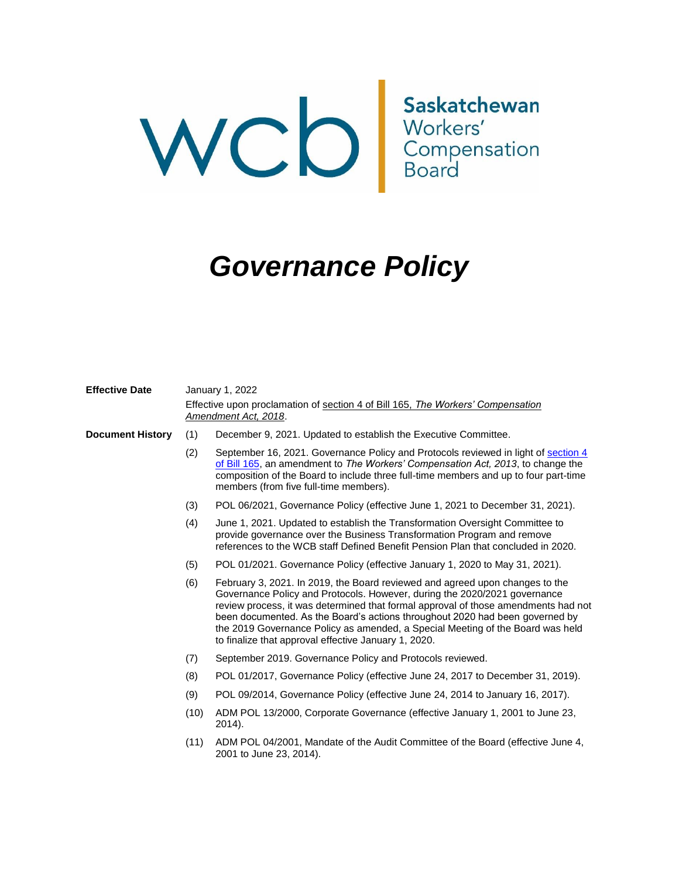# WCCD Saskatchewan<br>
Workers' Compensation<br>
Board

# *Governance Policy*

| <b>Effective Date</b>   |                                                                                                         | January 1, 2022                                                                                                                                                                                                                                                                                                                                                                                                                                                           |  |  |
|-------------------------|---------------------------------------------------------------------------------------------------------|---------------------------------------------------------------------------------------------------------------------------------------------------------------------------------------------------------------------------------------------------------------------------------------------------------------------------------------------------------------------------------------------------------------------------------------------------------------------------|--|--|
|                         | Effective upon proclamation of section 4 of Bill 165, The Workers' Compensation<br>Amendment Act, 2018. |                                                                                                                                                                                                                                                                                                                                                                                                                                                                           |  |  |
| <b>Document History</b> | (1)                                                                                                     | December 9, 2021. Updated to establish the Executive Committee.                                                                                                                                                                                                                                                                                                                                                                                                           |  |  |
|                         | (2)                                                                                                     | September 16, 2021. Governance Policy and Protocols reviewed in light of section 4<br>of Bill 165, an amendment to The Workers' Compensation Act, 2013, to change the<br>composition of the Board to include three full-time members and up to four part-time<br>members (from five full-time members).                                                                                                                                                                   |  |  |
|                         | (3)                                                                                                     | POL 06/2021, Governance Policy (effective June 1, 2021 to December 31, 2021).                                                                                                                                                                                                                                                                                                                                                                                             |  |  |
|                         | (4)                                                                                                     | June 1, 2021. Updated to establish the Transformation Oversight Committee to<br>provide governance over the Business Transformation Program and remove<br>references to the WCB staff Defined Benefit Pension Plan that concluded in 2020.                                                                                                                                                                                                                                |  |  |
|                         | (5)                                                                                                     | POL 01/2021. Governance Policy (effective January 1, 2020 to May 31, 2021).                                                                                                                                                                                                                                                                                                                                                                                               |  |  |
|                         | (6)                                                                                                     | February 3, 2021. In 2019, the Board reviewed and agreed upon changes to the<br>Governance Policy and Protocols. However, during the 2020/2021 governance<br>review process, it was determined that formal approval of those amendments had not<br>been documented. As the Board's actions throughout 2020 had been governed by<br>the 2019 Governance Policy as amended, a Special Meeting of the Board was held<br>to finalize that approval effective January 1, 2020. |  |  |
|                         | (7)                                                                                                     | September 2019. Governance Policy and Protocols reviewed.                                                                                                                                                                                                                                                                                                                                                                                                                 |  |  |
|                         | (8)                                                                                                     | POL 01/2017, Governance Policy (effective June 24, 2017 to December 31, 2019).                                                                                                                                                                                                                                                                                                                                                                                            |  |  |
|                         | (9)                                                                                                     | POL 09/2014, Governance Policy (effective June 24, 2014 to January 16, 2017).                                                                                                                                                                                                                                                                                                                                                                                             |  |  |
|                         | (10)                                                                                                    | ADM POL 13/2000, Corporate Governance (effective January 1, 2001 to June 23,<br>2014).                                                                                                                                                                                                                                                                                                                                                                                    |  |  |
|                         | (11)                                                                                                    | ADM POL 04/2001, Mandate of the Audit Committee of the Board (effective June 4,<br>2001 to June 23, 2014).                                                                                                                                                                                                                                                                                                                                                                |  |  |
|                         |                                                                                                         |                                                                                                                                                                                                                                                                                                                                                                                                                                                                           |  |  |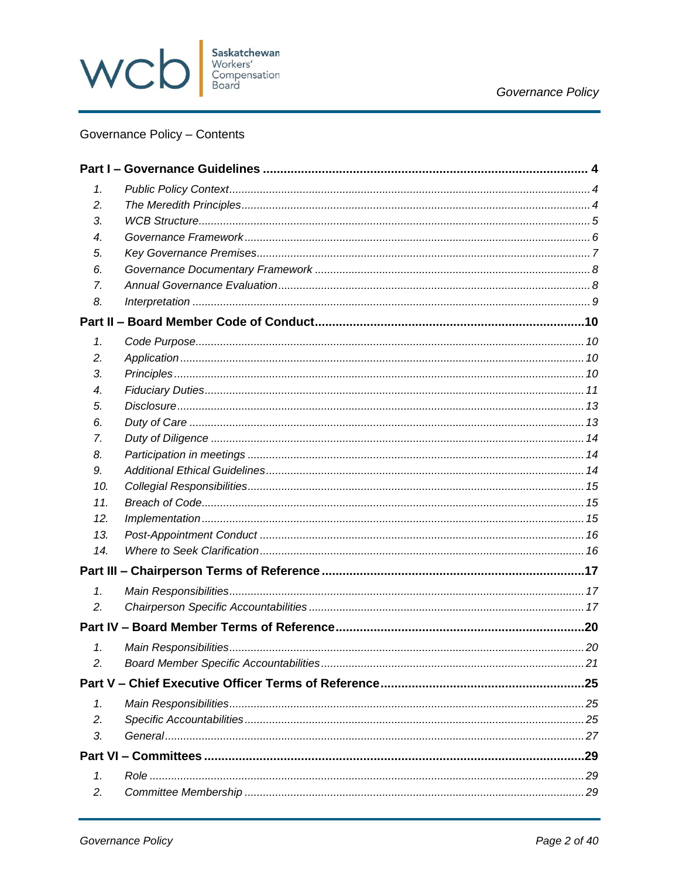

### Governance Policy - Contents

| 1.  |     |
|-----|-----|
| 2.  |     |
| 3.  |     |
| 4.  |     |
| 5.  |     |
| 6.  |     |
| 7.  |     |
| 8.  |     |
|     |     |
| 1.  |     |
| 2.  |     |
| 3.  |     |
| 4.  |     |
| 5.  |     |
| 6.  |     |
| 7.  |     |
| 8.  |     |
| 9.  |     |
| 10. |     |
| 11. |     |
| 12. |     |
| 13. |     |
| 14. |     |
|     |     |
| 1.  |     |
| 2.  |     |
|     |     |
| 1.  |     |
| 2.  |     |
|     |     |
| 1.  |     |
| 2.  |     |
| 3.  |     |
|     | .29 |
| 1.  |     |
| 2.  |     |
|     |     |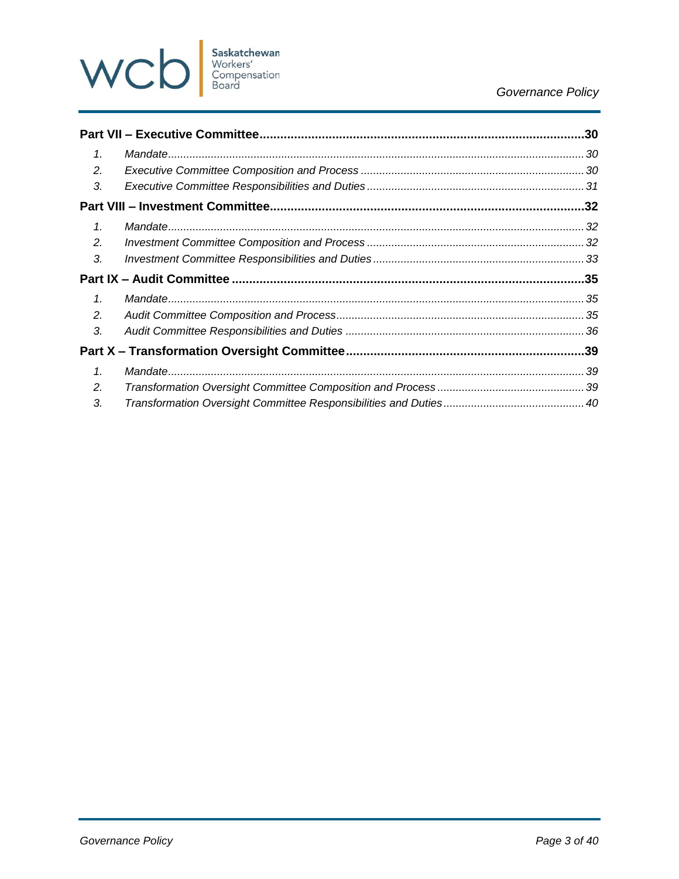

### Governance Policy

| $\mathcal{I}$ .             |  |
|-----------------------------|--|
| 2.                          |  |
| 3.                          |  |
|                             |  |
| $\mathcal{I}$ .             |  |
| $\mathcal{L}_{\mathcal{L}}$ |  |
| 3.                          |  |
|                             |  |
|                             |  |
| $\mathcal{I}$ .             |  |
| 2.                          |  |
| 3.                          |  |
|                             |  |
| $\mathcal{I}$ .             |  |
| 2.                          |  |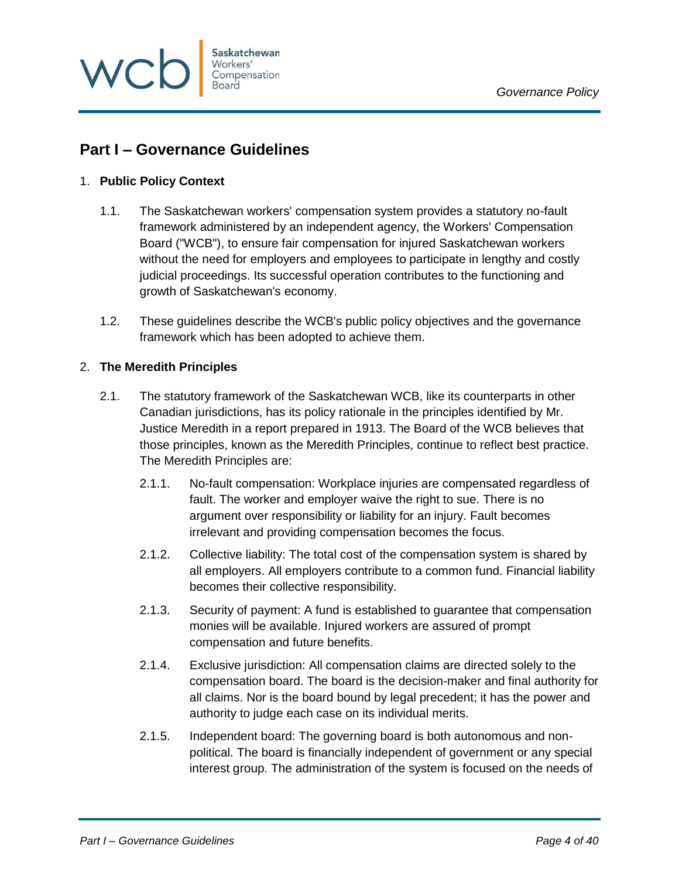

# <span id="page-3-0"></span>**Part I – Governance Guidelines**

### <span id="page-3-1"></span>1. **Public Policy Context**

- 1.1. The Saskatchewan workers' compensation system provides a statutory no-fault framework administered by an independent agency, the Workers' Compensation Board ("WCB"), to ensure fair compensation for injured Saskatchewan workers without the need for employers and employees to participate in lengthy and costly judicial proceedings. Its successful operation contributes to the functioning and growth of Saskatchewan's economy.
- 1.2. These guidelines describe the WCB's public policy objectives and the governance framework which has been adopted to achieve them.

### <span id="page-3-2"></span>2. **The Meredith Principles**

- 2.1. The statutory framework of the Saskatchewan WCB, like its counterparts in other Canadian jurisdictions, has its policy rationale in the principles identified by Mr. Justice Meredith in a report prepared in 1913. The Board of the WCB believes that those principles, known as the Meredith Principles, continue to reflect best practice. The Meredith Principles are:
	- 2.1.1. No-fault compensation: Workplace injuries are compensated regardless of fault. The worker and employer waive the right to sue. There is no argument over responsibility or liability for an injury. Fault becomes irrelevant and providing compensation becomes the focus.
	- 2.1.2. Collective liability: The total cost of the compensation system is shared by all employers. All employers contribute to a common fund. Financial liability becomes their collective responsibility.
	- 2.1.3. Security of payment: A fund is established to guarantee that compensation monies will be available. Injured workers are assured of prompt compensation and future benefits.
	- 2.1.4. Exclusive jurisdiction: All compensation claims are directed solely to the compensation board. The board is the decision-maker and final authority for all claims. Nor is the board bound by legal precedent; it has the power and authority to judge each case on its individual merits.
	- 2.1.5. Independent board: The governing board is both autonomous and nonpolitical. The board is financially independent of government or any special interest group. The administration of the system is focused on the needs of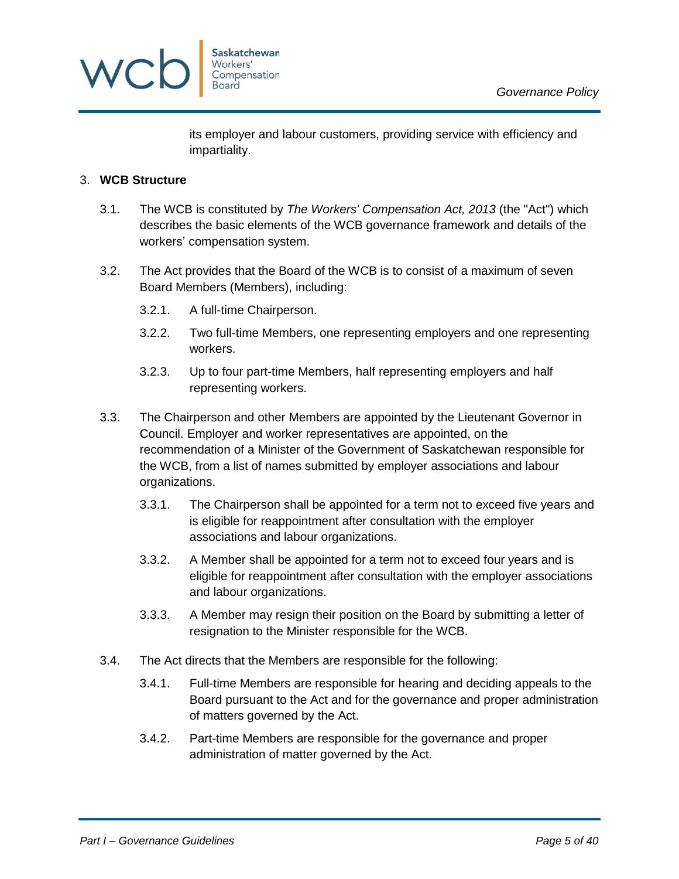

its employer and labour customers, providing service with efficiency and impartiality.

### <span id="page-4-0"></span>3. **WCB Structure**

- 3.1. The WCB is constituted by *The Workers' Compensation Act, 2013* (the "Act") which describes the basic elements of the WCB governance framework and details of the workers' compensation system.
- 3.2. The Act provides that the Board of the WCB is to consist of a maximum of seven Board Members (Members), including:
	- 3.2.1. A full-time Chairperson.
	- 3.2.2. Two full-time Members, one representing employers and one representing workers.
	- 3.2.3. Up to four part-time Members, half representing employers and half representing workers.
- 3.3. The Chairperson and other Members are appointed by the Lieutenant Governor in Council. Employer and worker representatives are appointed, on the recommendation of a Minister of the Government of Saskatchewan responsible for the WCB, from a list of names submitted by employer associations and labour organizations.
	- 3.3.1. The Chairperson shall be appointed for a term not to exceed five years and is eligible for reappointment after consultation with the employer associations and labour organizations.
	- 3.3.2. A Member shall be appointed for a term not to exceed four years and is eligible for reappointment after consultation with the employer associations and labour organizations.
	- 3.3.3. A Member may resign their position on the Board by submitting a letter of resignation to the Minister responsible for the WCB.
- 3.4. The Act directs that the Members are responsible for the following:
	- 3.4.1. Full-time Members are responsible for hearing and deciding appeals to the Board pursuant to the Act and for the governance and proper administration of matters governed by the Act.
	- 3.4.2. Part-time Members are responsible for the governance and proper administration of matter governed by the Act.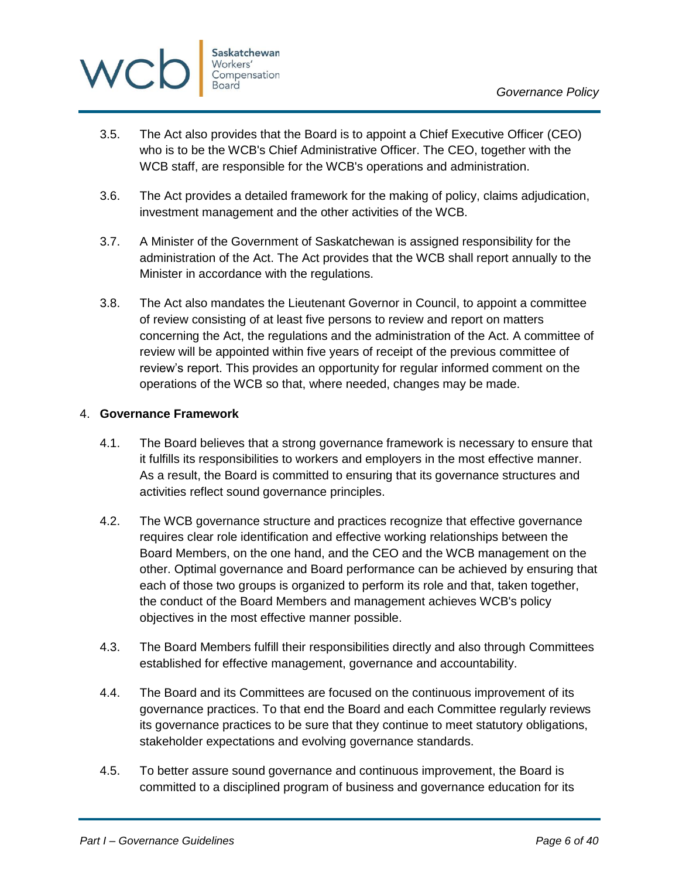

- 3.5. The Act also provides that the Board is to appoint a Chief Executive Officer (CEO) who is to be the WCB's Chief Administrative Officer. The CEO, together with the WCB staff, are responsible for the WCB's operations and administration.
- 3.6. The Act provides a detailed framework for the making of policy, claims adjudication, investment management and the other activities of the WCB.
- 3.7. A Minister of the Government of Saskatchewan is assigned responsibility for the administration of the Act. The Act provides that the WCB shall report annually to the Minister in accordance with the regulations.
- 3.8. The Act also mandates the Lieutenant Governor in Council, to appoint a committee of review consisting of at least five persons to review and report on matters concerning the Act, the regulations and the administration of the Act. A committee of review will be appointed within five years of receipt of the previous committee of review's report. This provides an opportunity for regular informed comment on the operations of the WCB so that, where needed, changes may be made.

### <span id="page-5-0"></span>4. **Governance Framework**

- 4.1. The Board believes that a strong governance framework is necessary to ensure that it fulfills its responsibilities to workers and employers in the most effective manner. As a result, the Board is committed to ensuring that its governance structures and activities reflect sound governance principles.
- 4.2. The WCB governance structure and practices recognize that effective governance requires clear role identification and effective working relationships between the Board Members, on the one hand, and the CEO and the WCB management on the other. Optimal governance and Board performance can be achieved by ensuring that each of those two groups is organized to perform its role and that, taken together, the conduct of the Board Members and management achieves WCB's policy objectives in the most effective manner possible.
- 4.3. The Board Members fulfill their responsibilities directly and also through Committees established for effective management, governance and accountability.
- 4.4. The Board and its Committees are focused on the continuous improvement of its governance practices. To that end the Board and each Committee regularly reviews its governance practices to be sure that they continue to meet statutory obligations, stakeholder expectations and evolving governance standards.
- 4.5. To better assure sound governance and continuous improvement, the Board is committed to a disciplined program of business and governance education for its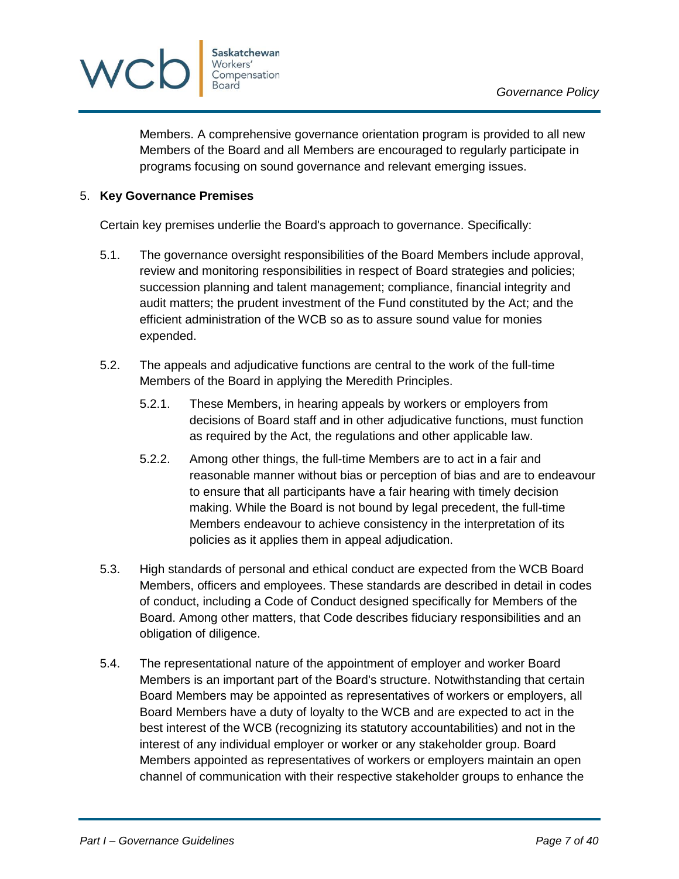

Members. A comprehensive governance orientation program is provided to all new Members of the Board and all Members are encouraged to regularly participate in programs focusing on sound governance and relevant emerging issues.

### <span id="page-6-0"></span>5. **Key Governance Premises**

Certain key premises underlie the Board's approach to governance. Specifically:

- 5.1. The governance oversight responsibilities of the Board Members include approval, review and monitoring responsibilities in respect of Board strategies and policies; succession planning and talent management; compliance, financial integrity and audit matters; the prudent investment of the Fund constituted by the Act; and the efficient administration of the WCB so as to assure sound value for monies expended.
- 5.2. The appeals and adjudicative functions are central to the work of the full-time Members of the Board in applying the Meredith Principles.
	- 5.2.1. These Members, in hearing appeals by workers or employers from decisions of Board staff and in other adjudicative functions, must function as required by the Act, the regulations and other applicable law.
	- 5.2.2. Among other things, the full-time Members are to act in a fair and reasonable manner without bias or perception of bias and are to endeavour to ensure that all participants have a fair hearing with timely decision making. While the Board is not bound by legal precedent, the full-time Members endeavour to achieve consistency in the interpretation of its policies as it applies them in appeal adjudication.
- 5.3. High standards of personal and ethical conduct are expected from the WCB Board Members, officers and employees. These standards are described in detail in codes of conduct, including a Code of Conduct designed specifically for Members of the Board. Among other matters, that Code describes fiduciary responsibilities and an obligation of diligence.
- 5.4. The representational nature of the appointment of employer and worker Board Members is an important part of the Board's structure. Notwithstanding that certain Board Members may be appointed as representatives of workers or employers, all Board Members have a duty of loyalty to the WCB and are expected to act in the best interest of the WCB (recognizing its statutory accountabilities) and not in the interest of any individual employer or worker or any stakeholder group. Board Members appointed as representatives of workers or employers maintain an open channel of communication with their respective stakeholder groups to enhance the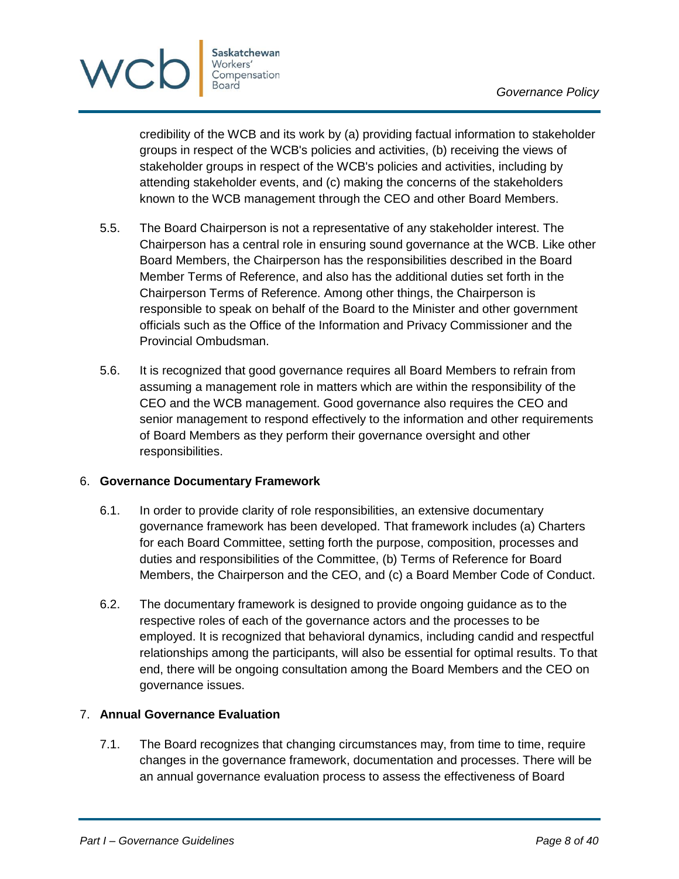

credibility of the WCB and its work by (a) providing factual information to stakeholder groups in respect of the WCB's policies and activities, (b) receiving the views of stakeholder groups in respect of the WCB's policies and activities, including by attending stakeholder events, and (c) making the concerns of the stakeholders known to the WCB management through the CEO and other Board Members.

- 5.5. The Board Chairperson is not a representative of any stakeholder interest. The Chairperson has a central role in ensuring sound governance at the WCB. Like other Board Members, the Chairperson has the responsibilities described in the Board Member Terms of Reference, and also has the additional duties set forth in the Chairperson Terms of Reference. Among other things, the Chairperson is responsible to speak on behalf of the Board to the Minister and other government officials such as the Office of the Information and Privacy Commissioner and the Provincial Ombudsman.
- 5.6. It is recognized that good governance requires all Board Members to refrain from assuming a management role in matters which are within the responsibility of the CEO and the WCB management. Good governance also requires the CEO and senior management to respond effectively to the information and other requirements of Board Members as they perform their governance oversight and other responsibilities.

### <span id="page-7-0"></span>6. **Governance Documentary Framework**

- 6.1. In order to provide clarity of role responsibilities, an extensive documentary governance framework has been developed. That framework includes (a) Charters for each Board Committee, setting forth the purpose, composition, processes and duties and responsibilities of the Committee, (b) Terms of Reference for Board Members, the Chairperson and the CEO, and (c) a Board Member Code of Conduct.
- 6.2. The documentary framework is designed to provide ongoing guidance as to the respective roles of each of the governance actors and the processes to be employed. It is recognized that behavioral dynamics, including candid and respectful relationships among the participants, will also be essential for optimal results. To that end, there will be ongoing consultation among the Board Members and the CEO on governance issues.

### <span id="page-7-1"></span>7. **Annual Governance Evaluation**

7.1. The Board recognizes that changing circumstances may, from time to time, require changes in the governance framework, documentation and processes. There will be an annual governance evaluation process to assess the effectiveness of Board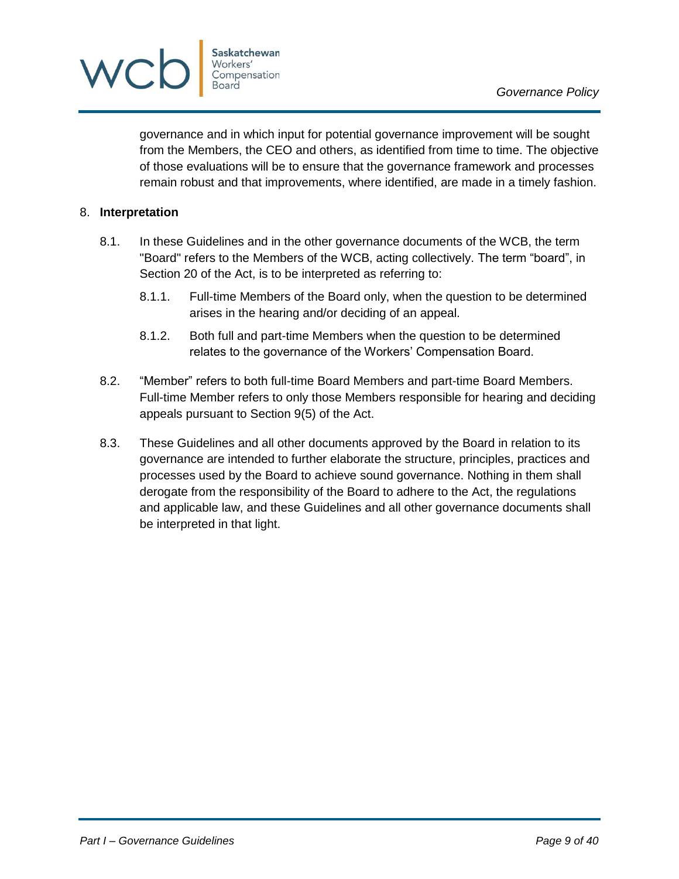



governance and in which input for potential governance improvement will be sought from the Members, the CEO and others, as identified from time to time. The objective of those evaluations will be to ensure that the governance framework and processes remain robust and that improvements, where identified, are made in a timely fashion.

### <span id="page-8-0"></span>8. **Interpretation**

- 8.1. In these Guidelines and in the other governance documents of the WCB, the term "Board" refers to the Members of the WCB, acting collectively. The term "board", in Section 20 of the Act, is to be interpreted as referring to:
	- 8.1.1. Full-time Members of the Board only, when the question to be determined arises in the hearing and/or deciding of an appeal.
	- 8.1.2. Both full and part-time Members when the question to be determined relates to the governance of the Workers' Compensation Board.
- 8.2. "Member" refers to both full-time Board Members and part-time Board Members. Full-time Member refers to only those Members responsible for hearing and deciding appeals pursuant to Section 9(5) of the Act.
- 8.3. These Guidelines and all other documents approved by the Board in relation to its governance are intended to further elaborate the structure, principles, practices and processes used by the Board to achieve sound governance. Nothing in them shall derogate from the responsibility of the Board to adhere to the Act, the regulations and applicable law, and these Guidelines and all other governance documents shall be interpreted in that light.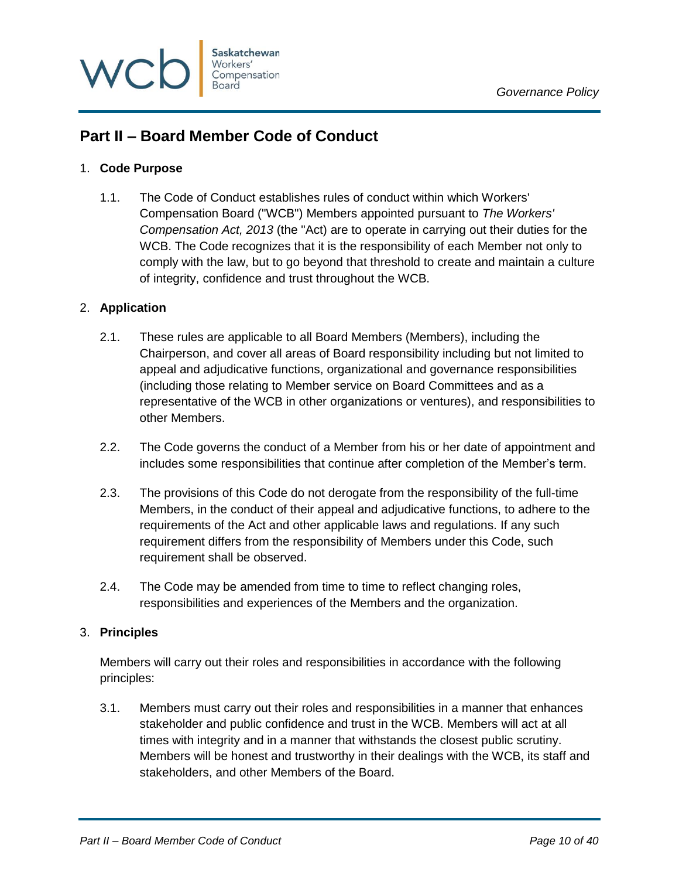

# <span id="page-9-0"></span>**Part II – Board Member Code of Conduct**

### <span id="page-9-1"></span>1. **Code Purpose**

1.1. The Code of Conduct establishes rules of conduct within which Workers' Compensation Board ("WCB") Members appointed pursuant to *The Workers' Compensation Act, 2013* (the "Act) are to operate in carrying out their duties for the WCB. The Code recognizes that it is the responsibility of each Member not only to comply with the law, but to go beyond that threshold to create and maintain a culture of integrity, confidence and trust throughout the WCB.

### <span id="page-9-2"></span>2. **Application**

- 2.1. These rules are applicable to all Board Members (Members), including the Chairperson, and cover all areas of Board responsibility including but not limited to appeal and adjudicative functions, organizational and governance responsibilities (including those relating to Member service on Board Committees and as a representative of the WCB in other organizations or ventures), and responsibilities to other Members.
- 2.2. The Code governs the conduct of a Member from his or her date of appointment and includes some responsibilities that continue after completion of the Member's term.
- 2.3. The provisions of this Code do not derogate from the responsibility of the full-time Members, in the conduct of their appeal and adjudicative functions, to adhere to the requirements of the Act and other applicable laws and regulations. If any such requirement differs from the responsibility of Members under this Code, such requirement shall be observed.
- 2.4. The Code may be amended from time to time to reflect changing roles, responsibilities and experiences of the Members and the organization.

### <span id="page-9-3"></span>3. **Principles**

Members will carry out their roles and responsibilities in accordance with the following principles:

3.1. Members must carry out their roles and responsibilities in a manner that enhances stakeholder and public confidence and trust in the WCB. Members will act at all times with integrity and in a manner that withstands the closest public scrutiny. Members will be honest and trustworthy in their dealings with the WCB, its staff and stakeholders, and other Members of the Board.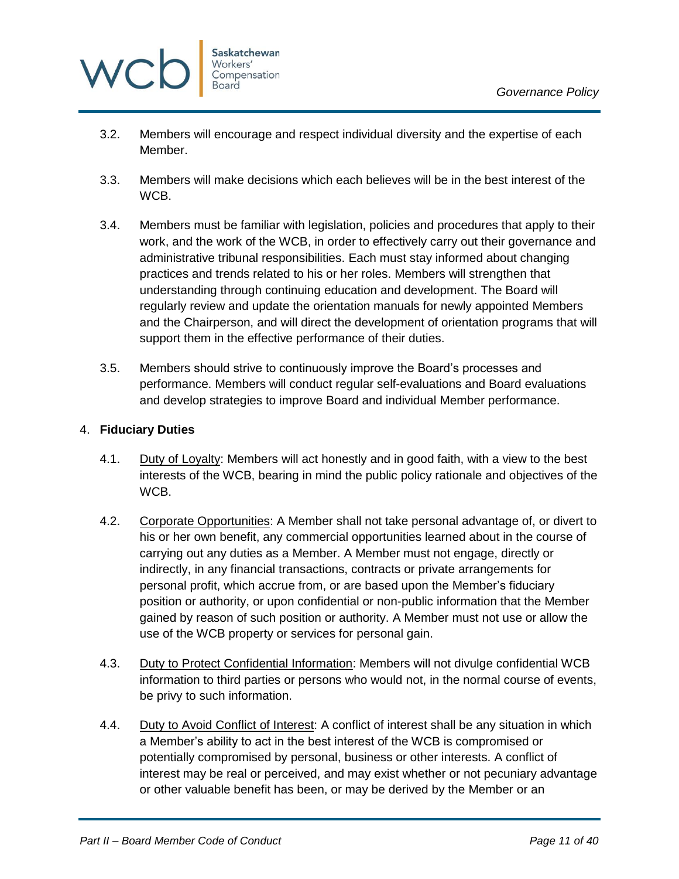

- 3.2. Members will encourage and respect individual diversity and the expertise of each Member.
- 3.3. Members will make decisions which each believes will be in the best interest of the WCB.
- 3.4. Members must be familiar with legislation, policies and procedures that apply to their work, and the work of the WCB, in order to effectively carry out their governance and administrative tribunal responsibilities. Each must stay informed about changing practices and trends related to his or her roles. Members will strengthen that understanding through continuing education and development. The Board will regularly review and update the orientation manuals for newly appointed Members and the Chairperson, and will direct the development of orientation programs that will support them in the effective performance of their duties.
- 3.5. Members should strive to continuously improve the Board's processes and performance. Members will conduct regular self-evaluations and Board evaluations and develop strategies to improve Board and individual Member performance.

### <span id="page-10-0"></span>4. **Fiduciary Duties**

- 4.1. Duty of Loyalty: Members will act honestly and in good faith, with a view to the best interests of the WCB, bearing in mind the public policy rationale and objectives of the WCB.
- 4.2. Corporate Opportunities: A Member shall not take personal advantage of, or divert to his or her own benefit, any commercial opportunities learned about in the course of carrying out any duties as a Member. A Member must not engage, directly or indirectly, in any financial transactions, contracts or private arrangements for personal profit, which accrue from, or are based upon the Member's fiduciary position or authority, or upon confidential or non-public information that the Member gained by reason of such position or authority. A Member must not use or allow the use of the WCB property or services for personal gain.
- 4.3. Duty to Protect Confidential Information: Members will not divulge confidential WCB information to third parties or persons who would not, in the normal course of events, be privy to such information.
- 4.4. Duty to Avoid Conflict of Interest: A conflict of interest shall be any situation in which a Member's ability to act in the best interest of the WCB is compromised or potentially compromised by personal, business or other interests. A conflict of interest may be real or perceived, and may exist whether or not pecuniary advantage or other valuable benefit has been, or may be derived by the Member or an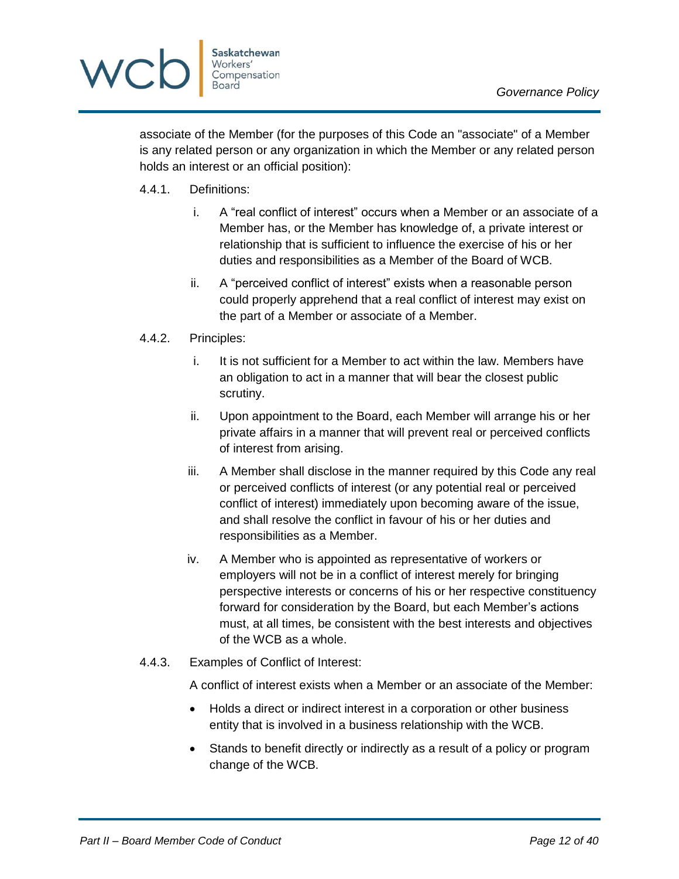

associate of the Member (for the purposes of this Code an "associate" of a Member is any related person or any organization in which the Member or any related person holds an interest or an official position):

- 4.4.1. Definitions:
	- i. A "real conflict of interest" occurs when a Member or an associate of a Member has, or the Member has knowledge of, a private interest or relationship that is sufficient to influence the exercise of his or her duties and responsibilities as a Member of the Board of WCB.
	- ii. A "perceived conflict of interest" exists when a reasonable person could properly apprehend that a real conflict of interest may exist on the part of a Member or associate of a Member.
- 4.4.2. Principles:
	- i. It is not sufficient for a Member to act within the law. Members have an obligation to act in a manner that will bear the closest public scrutiny.
	- ii. Upon appointment to the Board, each Member will arrange his or her private affairs in a manner that will prevent real or perceived conflicts of interest from arising.
	- iii. A Member shall disclose in the manner required by this Code any real or perceived conflicts of interest (or any potential real or perceived conflict of interest) immediately upon becoming aware of the issue, and shall resolve the conflict in favour of his or her duties and responsibilities as a Member.
	- iv. A Member who is appointed as representative of workers or employers will not be in a conflict of interest merely for bringing perspective interests or concerns of his or her respective constituency forward for consideration by the Board, but each Member's actions must, at all times, be consistent with the best interests and objectives of the WCB as a whole.
- 4.4.3. Examples of Conflict of Interest:

A conflict of interest exists when a Member or an associate of the Member:

- Holds a direct or indirect interest in a corporation or other business entity that is involved in a business relationship with the WCB.
- Stands to benefit directly or indirectly as a result of a policy or program change of the WCB.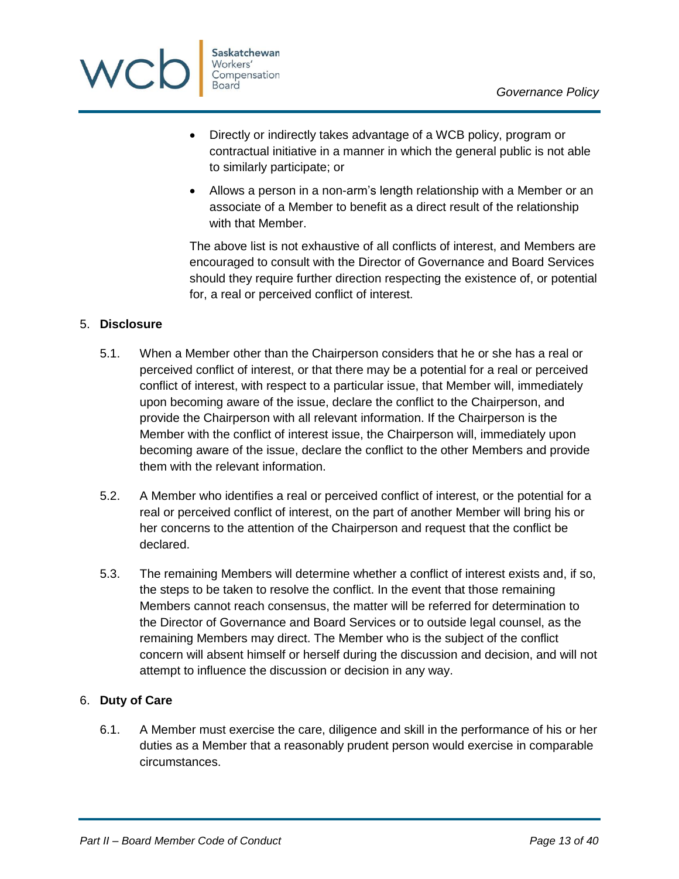

- Directly or indirectly takes advantage of a WCB policy, program or contractual initiative in a manner in which the general public is not able to similarly participate; or
- Allows a person in a non-arm's length relationship with a Member or an associate of a Member to benefit as a direct result of the relationship with that Member.

The above list is not exhaustive of all conflicts of interest, and Members are encouraged to consult with the Director of Governance and Board Services should they require further direction respecting the existence of, or potential for, a real or perceived conflict of interest.

### <span id="page-12-0"></span>5. **Disclosure**

- 5.1. When a Member other than the Chairperson considers that he or she has a real or perceived conflict of interest, or that there may be a potential for a real or perceived conflict of interest, with respect to a particular issue, that Member will, immediately upon becoming aware of the issue, declare the conflict to the Chairperson, and provide the Chairperson with all relevant information. If the Chairperson is the Member with the conflict of interest issue, the Chairperson will, immediately upon becoming aware of the issue, declare the conflict to the other Members and provide them with the relevant information.
- 5.2. A Member who identifies a real or perceived conflict of interest, or the potential for a real or perceived conflict of interest, on the part of another Member will bring his or her concerns to the attention of the Chairperson and request that the conflict be declared.
- 5.3. The remaining Members will determine whether a conflict of interest exists and, if so, the steps to be taken to resolve the conflict. In the event that those remaining Members cannot reach consensus, the matter will be referred for determination to the Director of Governance and Board Services or to outside legal counsel, as the remaining Members may direct. The Member who is the subject of the conflict concern will absent himself or herself during the discussion and decision, and will not attempt to influence the discussion or decision in any way.

### <span id="page-12-1"></span>6. **Duty of Care**

6.1. A Member must exercise the care, diligence and skill in the performance of his or her duties as a Member that a reasonably prudent person would exercise in comparable circumstances.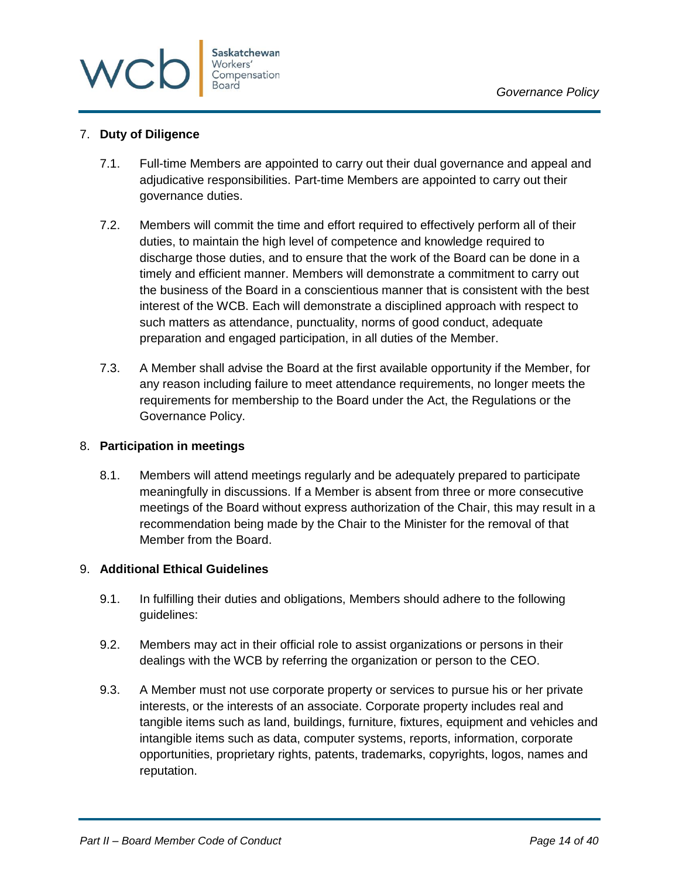

### <span id="page-13-0"></span>7. **Duty of Diligence**

- 7.1. Full-time Members are appointed to carry out their dual governance and appeal and adjudicative responsibilities. Part-time Members are appointed to carry out their governance duties.
- 7.2. Members will commit the time and effort required to effectively perform all of their duties, to maintain the high level of competence and knowledge required to discharge those duties, and to ensure that the work of the Board can be done in a timely and efficient manner. Members will demonstrate a commitment to carry out the business of the Board in a conscientious manner that is consistent with the best interest of the WCB. Each will demonstrate a disciplined approach with respect to such matters as attendance, punctuality, norms of good conduct, adequate preparation and engaged participation, in all duties of the Member.
- 7.3. A Member shall advise the Board at the first available opportunity if the Member, for any reason including failure to meet attendance requirements, no longer meets the requirements for membership to the Board under the Act, the Regulations or the Governance Policy.

### <span id="page-13-1"></span>8. **Participation in meetings**

8.1. Members will attend meetings regularly and be adequately prepared to participate meaningfully in discussions. If a Member is absent from three or more consecutive meetings of the Board without express authorization of the Chair, this may result in a recommendation being made by the Chair to the Minister for the removal of that Member from the Board.

### <span id="page-13-2"></span>9. **Additional Ethical Guidelines**

- 9.1. In fulfilling their duties and obligations, Members should adhere to the following guidelines:
- 9.2. Members may act in their official role to assist organizations or persons in their dealings with the WCB by referring the organization or person to the CEO.
- 9.3. A Member must not use corporate property or services to pursue his or her private interests, or the interests of an associate. Corporate property includes real and tangible items such as land, buildings, furniture, fixtures, equipment and vehicles and intangible items such as data, computer systems, reports, information, corporate opportunities, proprietary rights, patents, trademarks, copyrights, logos, names and reputation.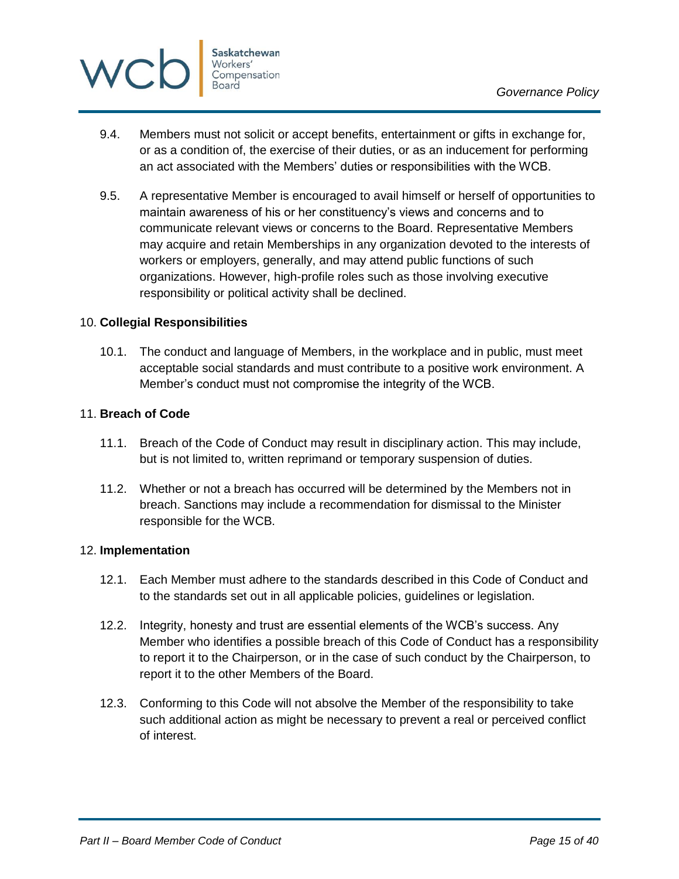

- 9.4. Members must not solicit or accept benefits, entertainment or gifts in exchange for, or as a condition of, the exercise of their duties, or as an inducement for performing an act associated with the Members' duties or responsibilities with the WCB.
- 9.5. A representative Member is encouraged to avail himself or herself of opportunities to maintain awareness of his or her constituency's views and concerns and to communicate relevant views or concerns to the Board. Representative Members may acquire and retain Memberships in any organization devoted to the interests of workers or employers, generally, and may attend public functions of such organizations. However, high-profile roles such as those involving executive responsibility or political activity shall be declined.

### <span id="page-14-0"></span>10. **Collegial Responsibilities**

10.1. The conduct and language of Members, in the workplace and in public, must meet acceptable social standards and must contribute to a positive work environment. A Member's conduct must not compromise the integrity of the WCB.

### <span id="page-14-1"></span>11. **Breach of Code**

- 11.1. Breach of the Code of Conduct may result in disciplinary action. This may include, but is not limited to, written reprimand or temporary suspension of duties.
- 11.2. Whether or not a breach has occurred will be determined by the Members not in breach. Sanctions may include a recommendation for dismissal to the Minister responsible for the WCB.

### <span id="page-14-2"></span>12. **Implementation**

- 12.1. Each Member must adhere to the standards described in this Code of Conduct and to the standards set out in all applicable policies, guidelines or legislation.
- 12.2. Integrity, honesty and trust are essential elements of the WCB's success. Any Member who identifies a possible breach of this Code of Conduct has a responsibility to report it to the Chairperson, or in the case of such conduct by the Chairperson, to report it to the other Members of the Board.
- 12.3. Conforming to this Code will not absolve the Member of the responsibility to take such additional action as might be necessary to prevent a real or perceived conflict of interest.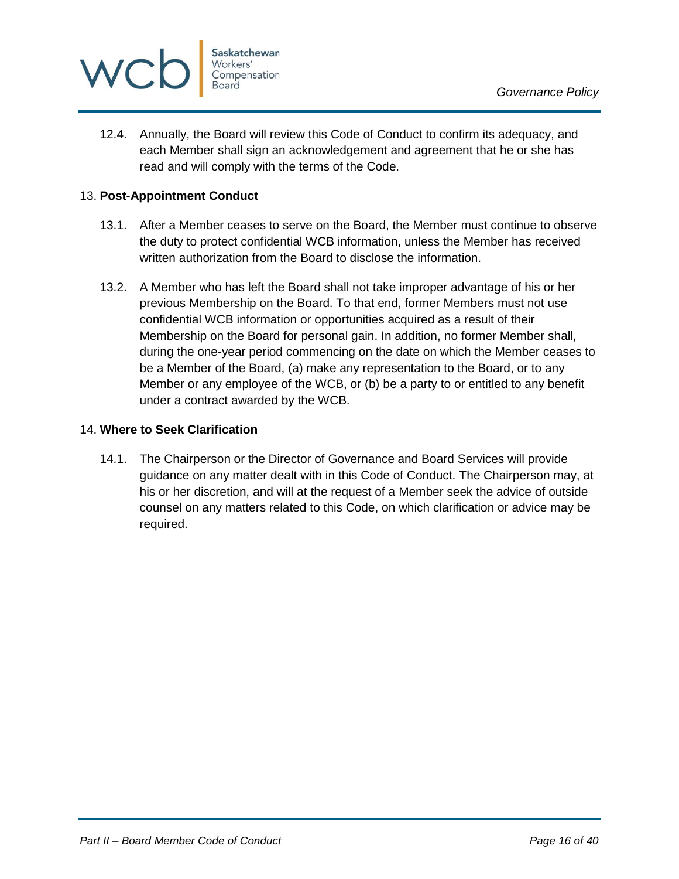

12.4. Annually, the Board will review this Code of Conduct to confirm its adequacy, and each Member shall sign an acknowledgement and agreement that he or she has read and will comply with the terms of the Code.

### <span id="page-15-0"></span>13. **Post-Appointment Conduct**

- 13.1. After a Member ceases to serve on the Board, the Member must continue to observe the duty to protect confidential WCB information, unless the Member has received written authorization from the Board to disclose the information.
- 13.2. A Member who has left the Board shall not take improper advantage of his or her previous Membership on the Board. To that end, former Members must not use confidential WCB information or opportunities acquired as a result of their Membership on the Board for personal gain. In addition, no former Member shall, during the one-year period commencing on the date on which the Member ceases to be a Member of the Board, (a) make any representation to the Board, or to any Member or any employee of the WCB, or (b) be a party to or entitled to any benefit under a contract awarded by the WCB.

### <span id="page-15-1"></span>14. **Where to Seek Clarification**

14.1. The Chairperson or the Director of Governance and Board Services will provide guidance on any matter dealt with in this Code of Conduct. The Chairperson may, at his or her discretion, and will at the request of a Member seek the advice of outside counsel on any matters related to this Code, on which clarification or advice may be required.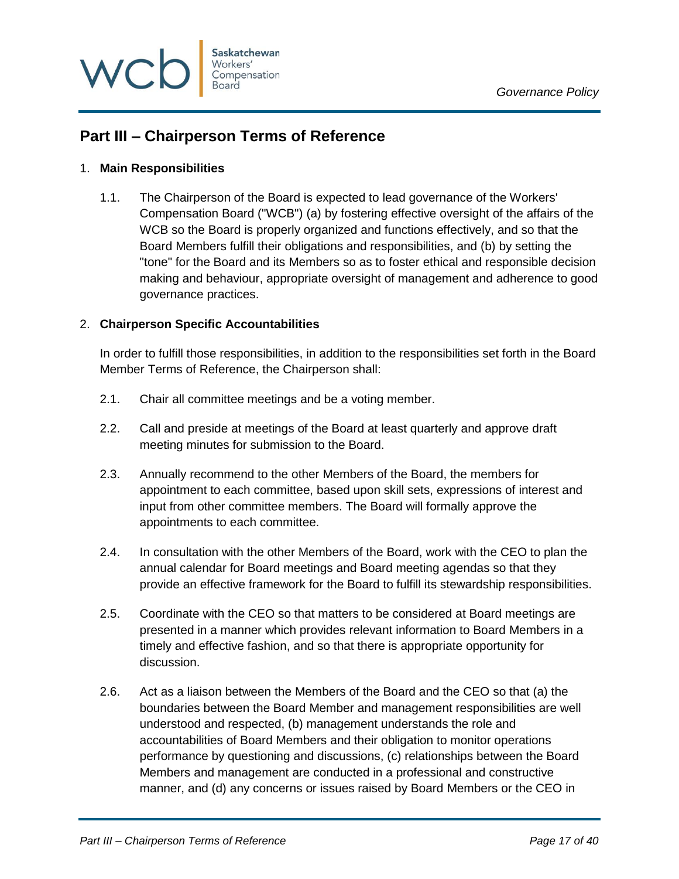

# <span id="page-16-0"></span>**Part III – Chairperson Terms of Reference**

### <span id="page-16-1"></span>1. **Main Responsibilities**

1.1. The Chairperson of the Board is expected to lead governance of the Workers' Compensation Board ("WCB") (a) by fostering effective oversight of the affairs of the WCB so the Board is properly organized and functions effectively, and so that the Board Members fulfill their obligations and responsibilities, and (b) by setting the "tone" for the Board and its Members so as to foster ethical and responsible decision making and behaviour, appropriate oversight of management and adherence to good governance practices.

### <span id="page-16-2"></span>2. **Chairperson Specific Accountabilities**

In order to fulfill those responsibilities, in addition to the responsibilities set forth in the Board Member Terms of Reference, the Chairperson shall:

- 2.1. Chair all committee meetings and be a voting member.
- 2.2. Call and preside at meetings of the Board at least quarterly and approve draft meeting minutes for submission to the Board.
- 2.3. Annually recommend to the other Members of the Board, the members for appointment to each committee, based upon skill sets, expressions of interest and input from other committee members. The Board will formally approve the appointments to each committee.
- 2.4. In consultation with the other Members of the Board, work with the CEO to plan the annual calendar for Board meetings and Board meeting agendas so that they provide an effective framework for the Board to fulfill its stewardship responsibilities.
- 2.5. Coordinate with the CEO so that matters to be considered at Board meetings are presented in a manner which provides relevant information to Board Members in a timely and effective fashion, and so that there is appropriate opportunity for discussion.
- 2.6. Act as a liaison between the Members of the Board and the CEO so that (a) the boundaries between the Board Member and management responsibilities are well understood and respected, (b) management understands the role and accountabilities of Board Members and their obligation to monitor operations performance by questioning and discussions, (c) relationships between the Board Members and management are conducted in a professional and constructive manner, and (d) any concerns or issues raised by Board Members or the CEO in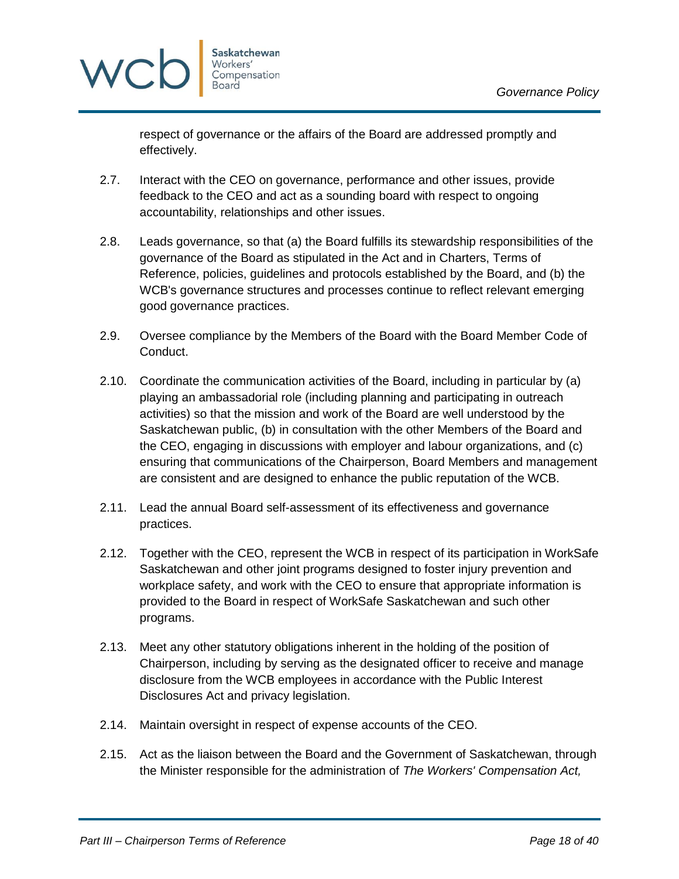

respect of governance or the affairs of the Board are addressed promptly and effectively.

- 2.7. Interact with the CEO on governance, performance and other issues, provide feedback to the CEO and act as a sounding board with respect to ongoing accountability, relationships and other issues.
- 2.8. Leads governance, so that (a) the Board fulfills its stewardship responsibilities of the governance of the Board as stipulated in the Act and in Charters, Terms of Reference, policies, guidelines and protocols established by the Board, and (b) the WCB's governance structures and processes continue to reflect relevant emerging good governance practices.
- 2.9. Oversee compliance by the Members of the Board with the Board Member Code of Conduct.
- 2.10. Coordinate the communication activities of the Board, including in particular by (a) playing an ambassadorial role (including planning and participating in outreach activities) so that the mission and work of the Board are well understood by the Saskatchewan public, (b) in consultation with the other Members of the Board and the CEO, engaging in discussions with employer and labour organizations, and (c) ensuring that communications of the Chairperson, Board Members and management are consistent and are designed to enhance the public reputation of the WCB.
- 2.11. Lead the annual Board self-assessment of its effectiveness and governance practices.
- 2.12. Together with the CEO, represent the WCB in respect of its participation in WorkSafe Saskatchewan and other joint programs designed to foster injury prevention and workplace safety, and work with the CEO to ensure that appropriate information is provided to the Board in respect of WorkSafe Saskatchewan and such other programs.
- 2.13. Meet any other statutory obligations inherent in the holding of the position of Chairperson, including by serving as the designated officer to receive and manage disclosure from the WCB employees in accordance with the Public Interest Disclosures Act and privacy legislation.
- 2.14. Maintain oversight in respect of expense accounts of the CEO.
- 2.15. Act as the liaison between the Board and the Government of Saskatchewan, through the Minister responsible for the administration of *The Workers' Compensation Act,*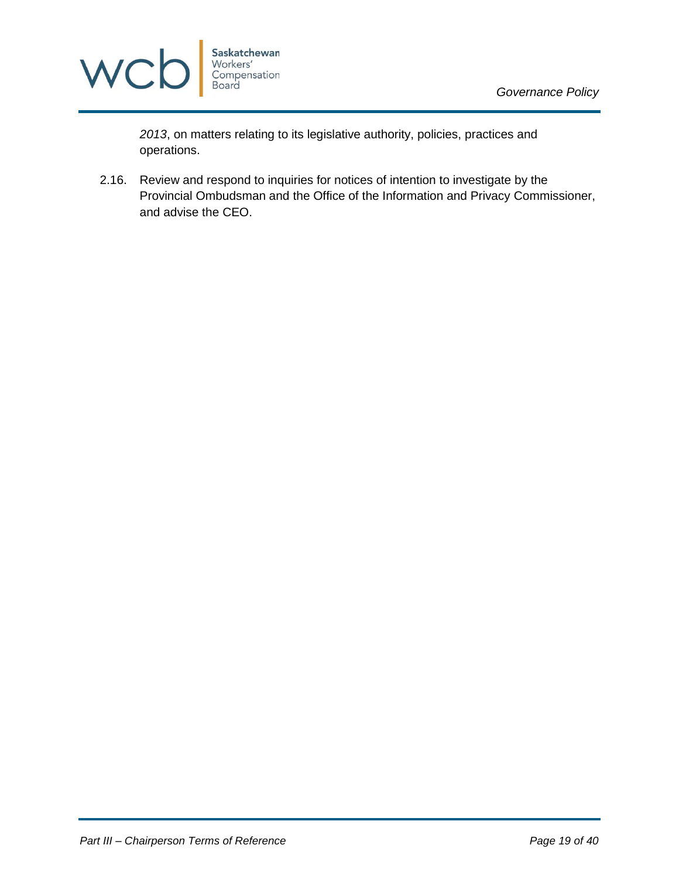

*2013*, on matters relating to its legislative authority, policies, practices and operations.

2.16. Review and respond to inquiries for notices of intention to investigate by the Provincial Ombudsman and the Office of the Information and Privacy Commissioner, and advise the CEO.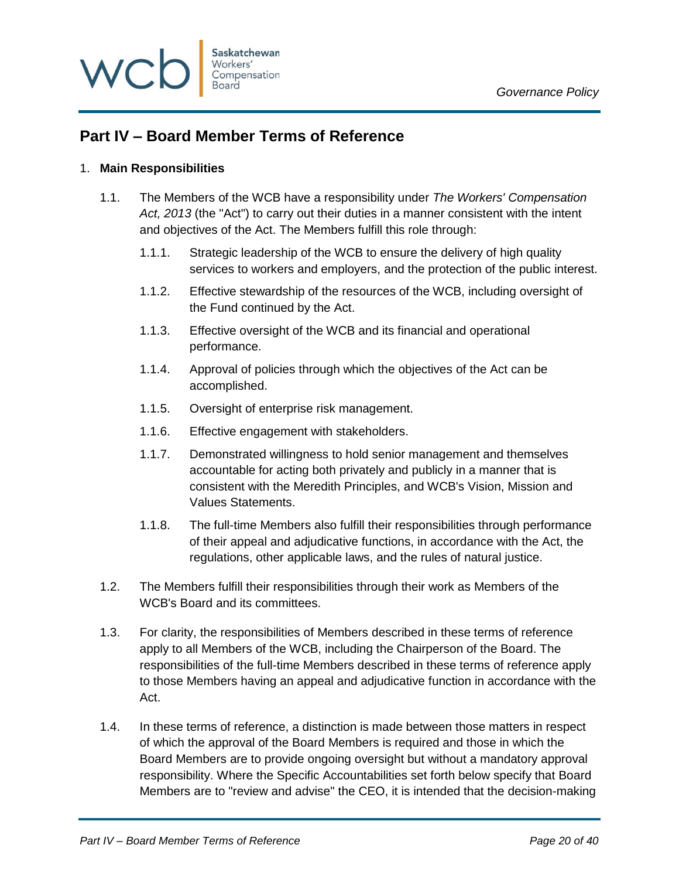

# <span id="page-19-0"></span>**Part IV – Board Member Terms of Reference**

### <span id="page-19-1"></span>1. **Main Responsibilities**

- 1.1. The Members of the WCB have a responsibility under *The Workers' Compensation Act, 2013* (the "Act") to carry out their duties in a manner consistent with the intent and objectives of the Act. The Members fulfill this role through:
	- 1.1.1. Strategic leadership of the WCB to ensure the delivery of high quality services to workers and employers, and the protection of the public interest.
	- 1.1.2. Effective stewardship of the resources of the WCB, including oversight of the Fund continued by the Act.
	- 1.1.3. Effective oversight of the WCB and its financial and operational performance.
	- 1.1.4. Approval of policies through which the objectives of the Act can be accomplished.
	- 1.1.5. Oversight of enterprise risk management.
	- 1.1.6. Effective engagement with stakeholders.
	- 1.1.7. Demonstrated willingness to hold senior management and themselves accountable for acting both privately and publicly in a manner that is consistent with the Meredith Principles, and WCB's Vision, Mission and Values Statements.
	- 1.1.8. The full-time Members also fulfill their responsibilities through performance of their appeal and adjudicative functions, in accordance with the Act, the regulations, other applicable laws, and the rules of natural justice.
- 1.2. The Members fulfill their responsibilities through their work as Members of the WCB's Board and its committees.
- 1.3. For clarity, the responsibilities of Members described in these terms of reference apply to all Members of the WCB, including the Chairperson of the Board. The responsibilities of the full-time Members described in these terms of reference apply to those Members having an appeal and adjudicative function in accordance with the Act.
- 1.4. In these terms of reference, a distinction is made between those matters in respect of which the approval of the Board Members is required and those in which the Board Members are to provide ongoing oversight but without a mandatory approval responsibility. Where the Specific Accountabilities set forth below specify that Board Members are to "review and advise" the CEO, it is intended that the decision-making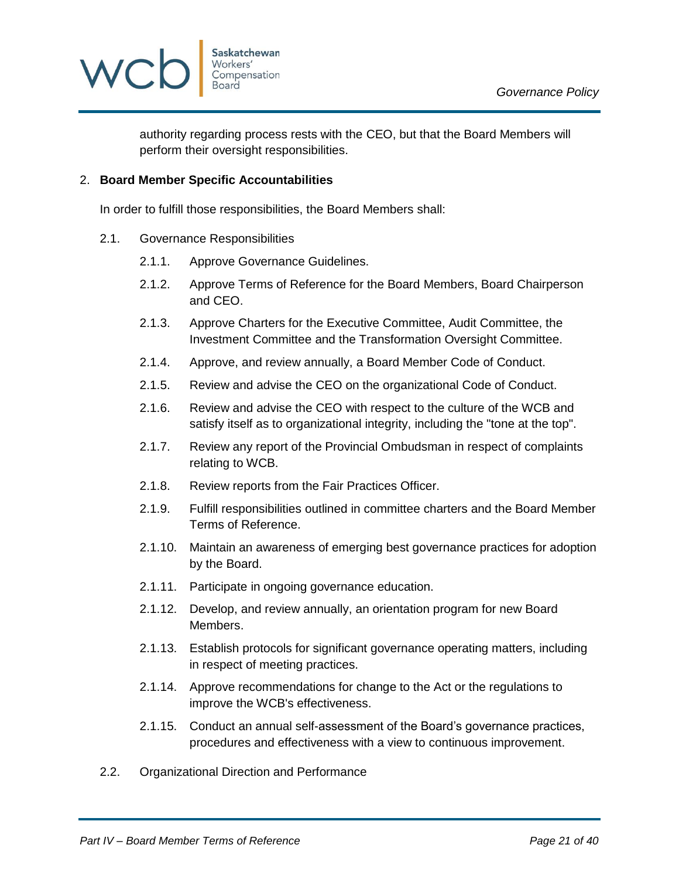

authority regarding process rests with the CEO, but that the Board Members will perform their oversight responsibilities.

### <span id="page-20-0"></span>2. **Board Member Specific Accountabilities**

In order to fulfill those responsibilities, the Board Members shall:

- 2.1. Governance Responsibilities
	- 2.1.1. Approve Governance Guidelines.
	- 2.1.2. Approve Terms of Reference for the Board Members, Board Chairperson and CEO.
	- 2.1.3. Approve Charters for the Executive Committee, Audit Committee, the Investment Committee and the Transformation Oversight Committee.
	- 2.1.4. Approve, and review annually, a Board Member Code of Conduct.
	- 2.1.5. Review and advise the CEO on the organizational Code of Conduct.
	- 2.1.6. Review and advise the CEO with respect to the culture of the WCB and satisfy itself as to organizational integrity, including the "tone at the top".
	- 2.1.7. Review any report of the Provincial Ombudsman in respect of complaints relating to WCB.
	- 2.1.8. Review reports from the Fair Practices Officer.
	- 2.1.9. Fulfill responsibilities outlined in committee charters and the Board Member Terms of Reference.
	- 2.1.10. Maintain an awareness of emerging best governance practices for adoption by the Board.
	- 2.1.11. Participate in ongoing governance education.
	- 2.1.12. Develop, and review annually, an orientation program for new Board Members.
	- 2.1.13. Establish protocols for significant governance operating matters, including in respect of meeting practices.
	- 2.1.14. Approve recommendations for change to the Act or the regulations to improve the WCB's effectiveness.
	- 2.1.15. Conduct an annual self-assessment of the Board's governance practices, procedures and effectiveness with a view to continuous improvement.
- 2.2. Organizational Direction and Performance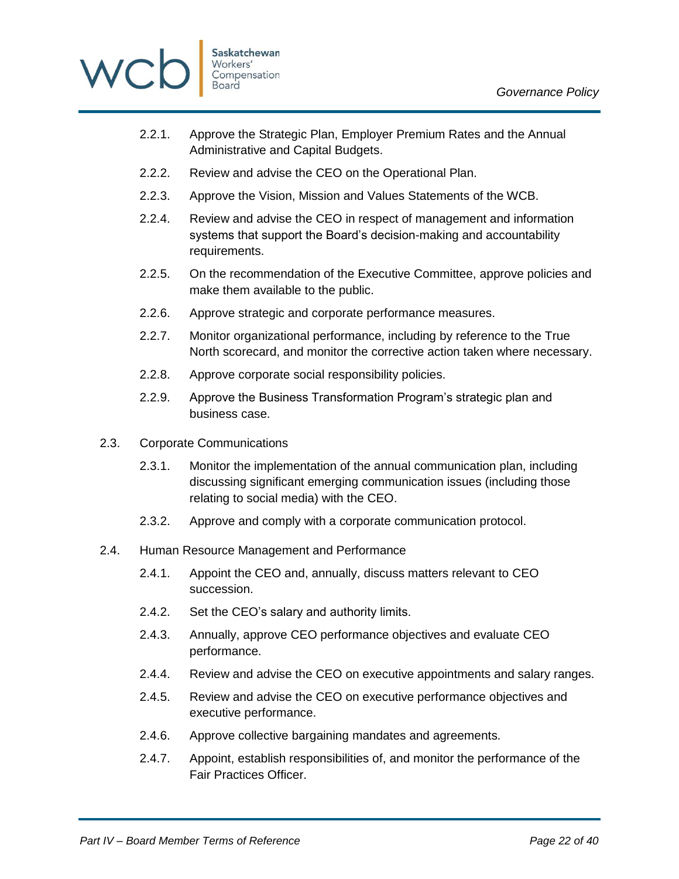



- 2.2.1. Approve the Strategic Plan, Employer Premium Rates and the Annual Administrative and Capital Budgets.
- 2.2.2. Review and advise the CEO on the Operational Plan.
- 2.2.3. Approve the Vision, Mission and Values Statements of the WCB.
- 2.2.4. Review and advise the CEO in respect of management and information systems that support the Board's decision-making and accountability requirements.
- 2.2.5. On the recommendation of the Executive Committee, approve policies and make them available to the public.
- 2.2.6. Approve strategic and corporate performance measures.
- 2.2.7. Monitor organizational performance, including by reference to the True North scorecard, and monitor the corrective action taken where necessary.
- 2.2.8. Approve corporate social responsibility policies.
- 2.2.9. Approve the Business Transformation Program's strategic plan and business case.
- 2.3. Corporate Communications
	- 2.3.1. Monitor the implementation of the annual communication plan, including discussing significant emerging communication issues (including those relating to social media) with the CEO.
	- 2.3.2. Approve and comply with a corporate communication protocol.
- 2.4. Human Resource Management and Performance
	- 2.4.1. Appoint the CEO and, annually, discuss matters relevant to CEO succession.
	- 2.4.2. Set the CEO's salary and authority limits.
	- 2.4.3. Annually, approve CEO performance objectives and evaluate CEO performance.
	- 2.4.4. Review and advise the CEO on executive appointments and salary ranges.
	- 2.4.5. Review and advise the CEO on executive performance objectives and executive performance.
	- 2.4.6. Approve collective bargaining mandates and agreements.
	- 2.4.7. Appoint, establish responsibilities of, and monitor the performance of the Fair Practices Officer.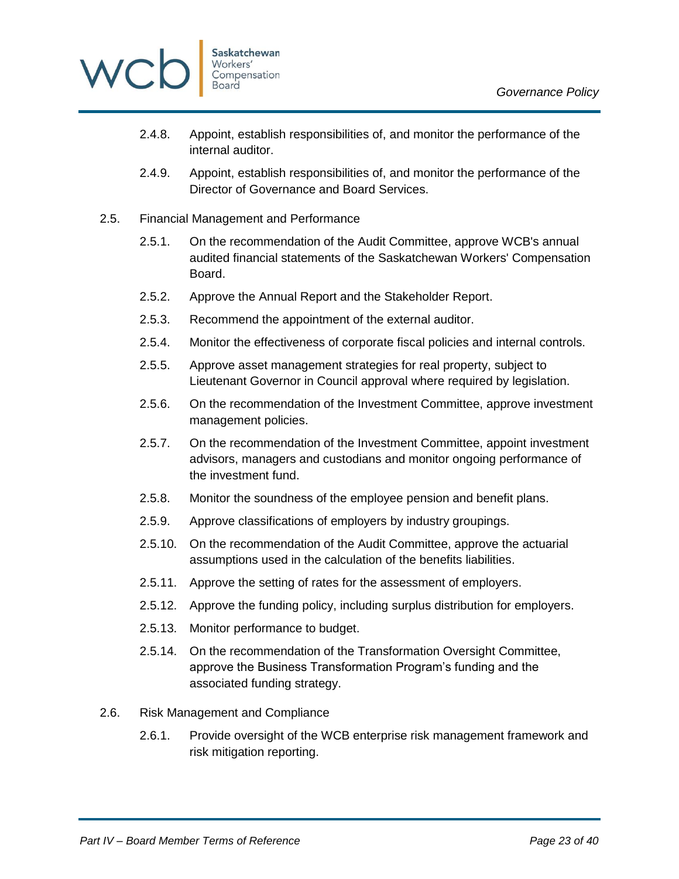

- 2.4.8. Appoint, establish responsibilities of, and monitor the performance of the internal auditor.
- 2.4.9. Appoint, establish responsibilities of, and monitor the performance of the Director of Governance and Board Services.
- 2.5. Financial Management and Performance
	- 2.5.1. On the recommendation of the Audit Committee, approve WCB's annual audited financial statements of the Saskatchewan Workers' Compensation Board.
	- 2.5.2. Approve the Annual Report and the Stakeholder Report.
	- 2.5.3. Recommend the appointment of the external auditor.
	- 2.5.4. Monitor the effectiveness of corporate fiscal policies and internal controls.
	- 2.5.5. Approve asset management strategies for real property, subject to Lieutenant Governor in Council approval where required by legislation.
	- 2.5.6. On the recommendation of the Investment Committee, approve investment management policies.
	- 2.5.7. On the recommendation of the Investment Committee, appoint investment advisors, managers and custodians and monitor ongoing performance of the investment fund.
	- 2.5.8. Monitor the soundness of the employee pension and benefit plans.
	- 2.5.9. Approve classifications of employers by industry groupings.
	- 2.5.10. On the recommendation of the Audit Committee, approve the actuarial assumptions used in the calculation of the benefits liabilities.
	- 2.5.11. Approve the setting of rates for the assessment of employers.
	- 2.5.12. Approve the funding policy, including surplus distribution for employers.
	- 2.5.13. Monitor performance to budget.
	- 2.5.14. On the recommendation of the Transformation Oversight Committee, approve the Business Transformation Program's funding and the associated funding strategy.
- 2.6. Risk Management and Compliance
	- 2.6.1. Provide oversight of the WCB enterprise risk management framework and risk mitigation reporting.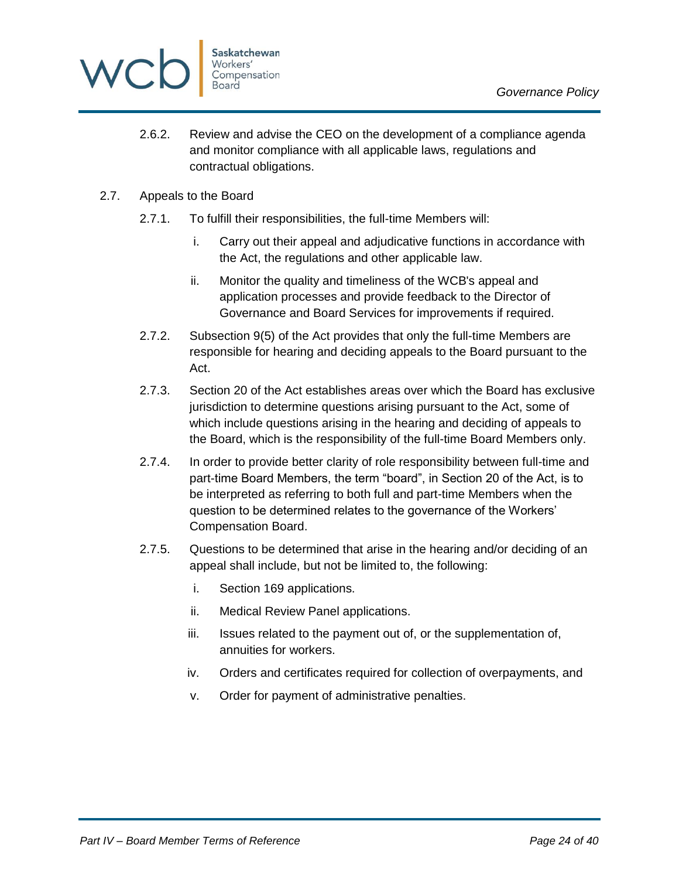

- 2.6.2. Review and advise the CEO on the development of a compliance agenda and monitor compliance with all applicable laws, regulations and contractual obligations.
- 2.7. Appeals to the Board
	- 2.7.1. To fulfill their responsibilities, the full-time Members will:
		- i. Carry out their appeal and adjudicative functions in accordance with the Act, the regulations and other applicable law.
		- ii. Monitor the quality and timeliness of the WCB's appeal and application processes and provide feedback to the Director of Governance and Board Services for improvements if required.
	- 2.7.2. Subsection 9(5) of the Act provides that only the full-time Members are responsible for hearing and deciding appeals to the Board pursuant to the Act.
	- 2.7.3. Section 20 of the Act establishes areas over which the Board has exclusive jurisdiction to determine questions arising pursuant to the Act, some of which include questions arising in the hearing and deciding of appeals to the Board, which is the responsibility of the full-time Board Members only.
	- 2.7.4. In order to provide better clarity of role responsibility between full-time and part-time Board Members, the term "board", in Section 20 of the Act, is to be interpreted as referring to both full and part-time Members when the question to be determined relates to the governance of the Workers' Compensation Board.
	- 2.7.5. Questions to be determined that arise in the hearing and/or deciding of an appeal shall include, but not be limited to, the following:
		- i. Section 169 applications.
		- ii. Medical Review Panel applications.
		- iii. Issues related to the payment out of, or the supplementation of, annuities for workers.
		- iv. Orders and certificates required for collection of overpayments, and
		- v. Order for payment of administrative penalties.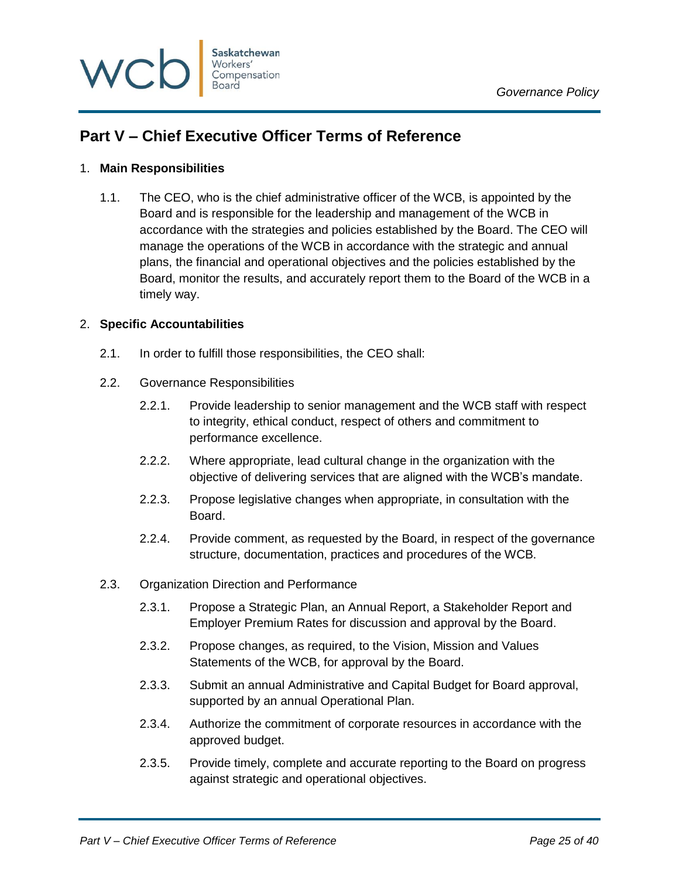

# <span id="page-24-0"></span>**Part V – Chief Executive Officer Terms of Reference**

### <span id="page-24-1"></span>1. **Main Responsibilities**

1.1. The CEO, who is the chief administrative officer of the WCB, is appointed by the Board and is responsible for the leadership and management of the WCB in accordance with the strategies and policies established by the Board. The CEO will manage the operations of the WCB in accordance with the strategic and annual plans, the financial and operational objectives and the policies established by the Board, monitor the results, and accurately report them to the Board of the WCB in a timely way.

### <span id="page-24-2"></span>2. **Specific Accountabilities**

- 2.1. In order to fulfill those responsibilities, the CEO shall:
- 2.2. Governance Responsibilities
	- 2.2.1. Provide leadership to senior management and the WCB staff with respect to integrity, ethical conduct, respect of others and commitment to performance excellence.
	- 2.2.2. Where appropriate, lead cultural change in the organization with the objective of delivering services that are aligned with the WCB's mandate.
	- 2.2.3. Propose legislative changes when appropriate, in consultation with the Board.
	- 2.2.4. Provide comment, as requested by the Board, in respect of the governance structure, documentation, practices and procedures of the WCB.
- 2.3. Organization Direction and Performance
	- 2.3.1. Propose a Strategic Plan, an Annual Report, a Stakeholder Report and Employer Premium Rates for discussion and approval by the Board.
	- 2.3.2. Propose changes, as required, to the Vision, Mission and Values Statements of the WCB, for approval by the Board.
	- 2.3.3. Submit an annual Administrative and Capital Budget for Board approval, supported by an annual Operational Plan.
	- 2.3.4. Authorize the commitment of corporate resources in accordance with the approved budget.
	- 2.3.5. Provide timely, complete and accurate reporting to the Board on progress against strategic and operational objectives.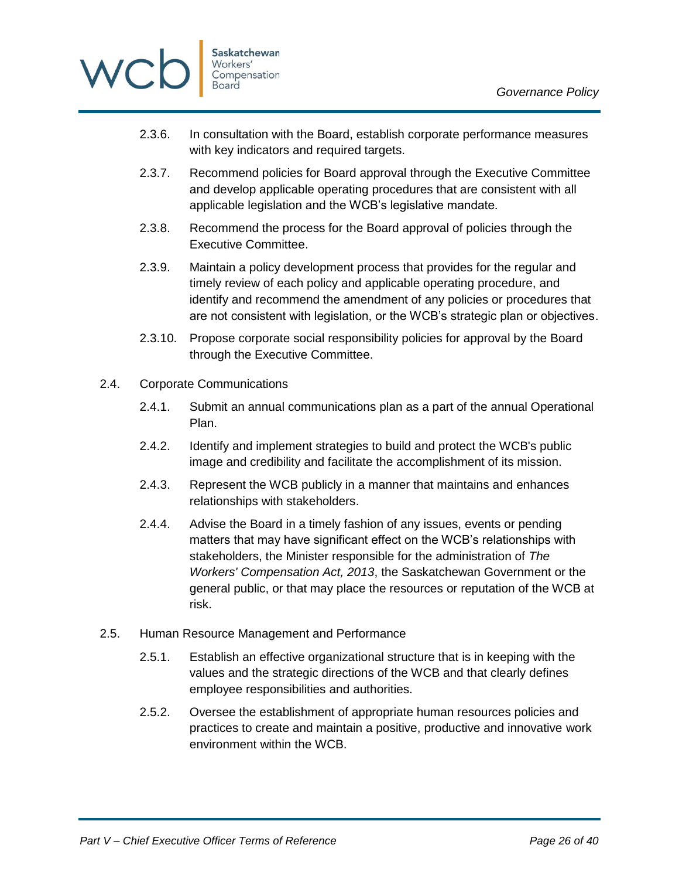

- 2.3.6. In consultation with the Board, establish corporate performance measures with key indicators and required targets.
- 2.3.7. Recommend policies for Board approval through the Executive Committee and develop applicable operating procedures that are consistent with all applicable legislation and the WCB's legislative mandate.
- 2.3.8. Recommend the process for the Board approval of policies through the Executive Committee.
- 2.3.9. Maintain a policy development process that provides for the regular and timely review of each policy and applicable operating procedure, and identify and recommend the amendment of any policies or procedures that are not consistent with legislation, or the WCB's strategic plan or objectives.
- 2.3.10. Propose corporate social responsibility policies for approval by the Board through the Executive Committee.
- 2.4. Corporate Communications
	- 2.4.1. Submit an annual communications plan as a part of the annual Operational Plan.
	- 2.4.2. Identify and implement strategies to build and protect the WCB's public image and credibility and facilitate the accomplishment of its mission.
	- 2.4.3. Represent the WCB publicly in a manner that maintains and enhances relationships with stakeholders.
	- 2.4.4. Advise the Board in a timely fashion of any issues, events or pending matters that may have significant effect on the WCB's relationships with stakeholders, the Minister responsible for the administration of *The Workers' Compensation Act, 2013*, the Saskatchewan Government or the general public, or that may place the resources or reputation of the WCB at risk.
- 2.5. Human Resource Management and Performance
	- 2.5.1. Establish an effective organizational structure that is in keeping with the values and the strategic directions of the WCB and that clearly defines employee responsibilities and authorities.
	- 2.5.2. Oversee the establishment of appropriate human resources policies and practices to create and maintain a positive, productive and innovative work environment within the WCB.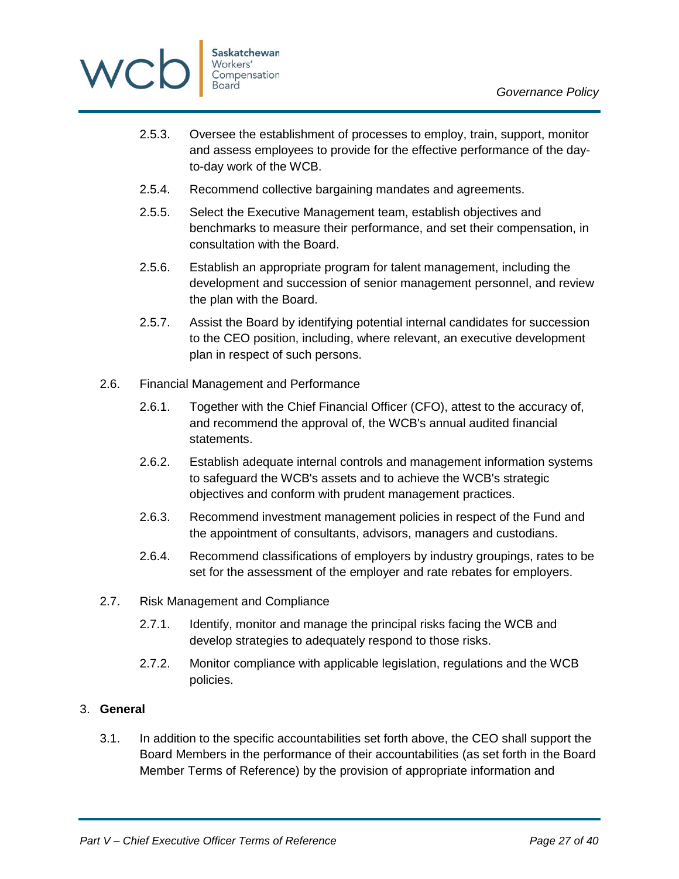

- 2.5.3. Oversee the establishment of processes to employ, train, support, monitor and assess employees to provide for the effective performance of the dayto-day work of the WCB.
- 2.5.4. Recommend collective bargaining mandates and agreements.
- 2.5.5. Select the Executive Management team, establish objectives and benchmarks to measure their performance, and set their compensation, in consultation with the Board.
- 2.5.6. Establish an appropriate program for talent management, including the development and succession of senior management personnel, and review the plan with the Board.
- 2.5.7. Assist the Board by identifying potential internal candidates for succession to the CEO position, including, where relevant, an executive development plan in respect of such persons.
- 2.6. Financial Management and Performance
	- 2.6.1. Together with the Chief Financial Officer (CFO), attest to the accuracy of, and recommend the approval of, the WCB's annual audited financial statements.
	- 2.6.2. Establish adequate internal controls and management information systems to safeguard the WCB's assets and to achieve the WCB's strategic objectives and conform with prudent management practices.
	- 2.6.3. Recommend investment management policies in respect of the Fund and the appointment of consultants, advisors, managers and custodians.
	- 2.6.4. Recommend classifications of employers by industry groupings, rates to be set for the assessment of the employer and rate rebates for employers.
- 2.7. Risk Management and Compliance
	- 2.7.1. Identify, monitor and manage the principal risks facing the WCB and develop strategies to adequately respond to those risks.
	- 2.7.2. Monitor compliance with applicable legislation, regulations and the WCB policies.

### <span id="page-26-0"></span>3. **General**

3.1. In addition to the specific accountabilities set forth above, the CEO shall support the Board Members in the performance of their accountabilities (as set forth in the Board Member Terms of Reference) by the provision of appropriate information and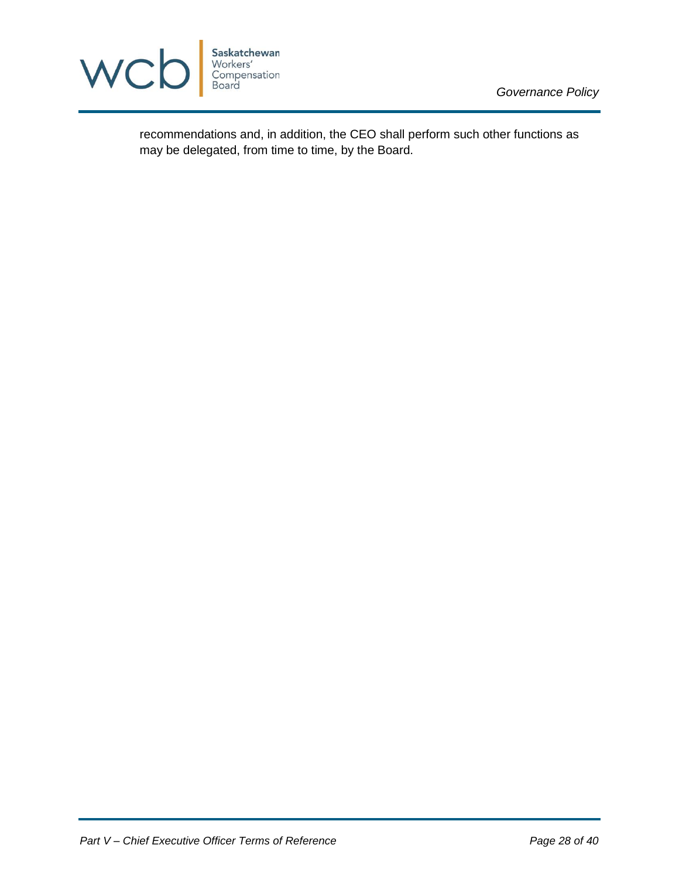

recommendations and, in addition, the CEO shall perform such other functions as may be delegated, from time to time, by the Board.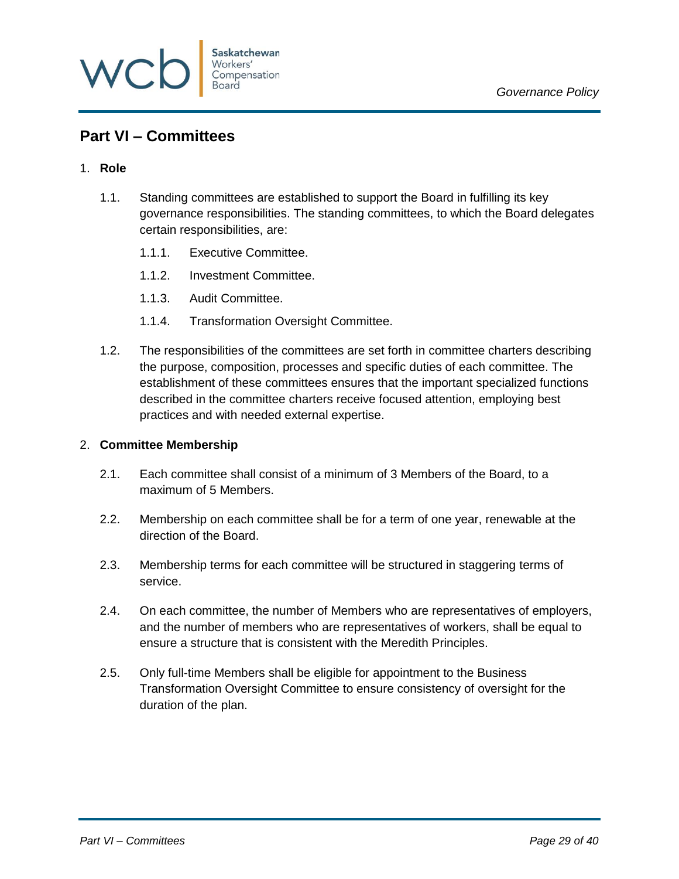

# <span id="page-28-0"></span>**Part VI – Committees**

### <span id="page-28-1"></span>1. **Role**

- 1.1. Standing committees are established to support the Board in fulfilling its key governance responsibilities. The standing committees, to which the Board delegates certain responsibilities, are:
	- 1.1.1. Executive Committee.
	- 1.1.2. Investment Committee.
	- 1.1.3. Audit Committee.
	- 1.1.4. Transformation Oversight Committee.
- 1.2. The responsibilities of the committees are set forth in committee charters describing the purpose, composition, processes and specific duties of each committee. The establishment of these committees ensures that the important specialized functions described in the committee charters receive focused attention, employing best practices and with needed external expertise.

### <span id="page-28-2"></span>2. **Committee Membership**

- 2.1. Each committee shall consist of a minimum of 3 Members of the Board, to a maximum of 5 Members.
- 2.2. Membership on each committee shall be for a term of one year, renewable at the direction of the Board.
- 2.3. Membership terms for each committee will be structured in staggering terms of service.
- 2.4. On each committee, the number of Members who are representatives of employers, and the number of members who are representatives of workers, shall be equal to ensure a structure that is consistent with the Meredith Principles.
- 2.5. Only full-time Members shall be eligible for appointment to the Business Transformation Oversight Committee to ensure consistency of oversight for the duration of the plan.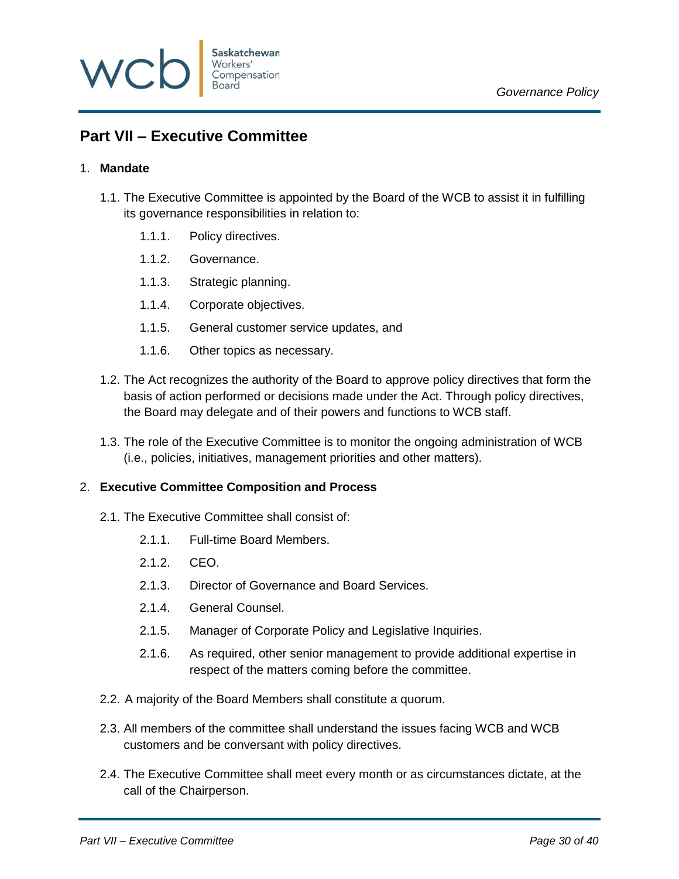

# <span id="page-29-0"></span>**Part VII – Executive Committee**

### <span id="page-29-1"></span>1. **Mandate**

- 1.1. The Executive Committee is appointed by the Board of the WCB to assist it in fulfilling its governance responsibilities in relation to:
	- 1.1.1. Policy directives.
	- 1.1.2. Governance.
	- 1.1.3. Strategic planning.
	- 1.1.4. Corporate objectives.
	- 1.1.5. General customer service updates, and
	- 1.1.6. Other topics as necessary.
- 1.2. The Act recognizes the authority of the Board to approve policy directives that form the basis of action performed or decisions made under the Act. Through policy directives, the Board may delegate and of their powers and functions to WCB staff.
- 1.3. The role of the Executive Committee is to monitor the ongoing administration of WCB (i.e., policies, initiatives, management priorities and other matters).

### <span id="page-29-2"></span>2. **Executive Committee Composition and Process**

- 2.1. The Executive Committee shall consist of:
	- 2.1.1. Full-time Board Members.
	- 2.1.2. CEO.
	- 2.1.3. Director of Governance and Board Services.
	- 2.1.4. General Counsel.
	- 2.1.5. Manager of Corporate Policy and Legislative Inquiries.
	- 2.1.6. As required, other senior management to provide additional expertise in respect of the matters coming before the committee.
- 2.2. A majority of the Board Members shall constitute a quorum.
- 2.3. All members of the committee shall understand the issues facing WCB and WCB customers and be conversant with policy directives.
- 2.4. The Executive Committee shall meet every month or as circumstances dictate, at the call of the Chairperson.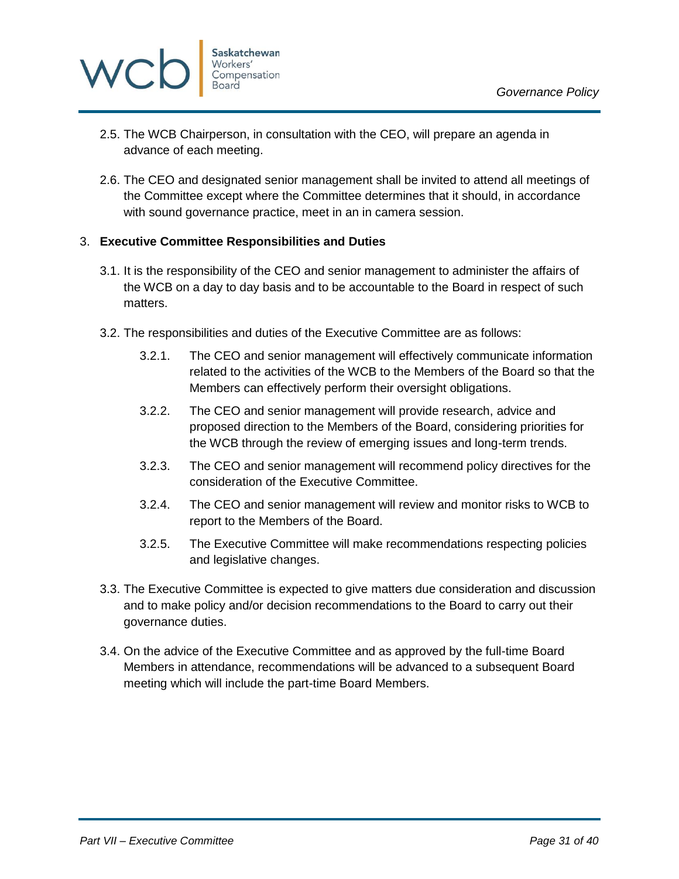

- 2.5. The WCB Chairperson, in consultation with the CEO, will prepare an agenda in advance of each meeting.
- 2.6. The CEO and designated senior management shall be invited to attend all meetings of the Committee except where the Committee determines that it should, in accordance with sound governance practice, meet in an in camera session.

### <span id="page-30-0"></span>3. **Executive Committee Responsibilities and Duties**

- 3.1. It is the responsibility of the CEO and senior management to administer the affairs of the WCB on a day to day basis and to be accountable to the Board in respect of such matters.
- 3.2. The responsibilities and duties of the Executive Committee are as follows:
	- 3.2.1. The CEO and senior management will effectively communicate information related to the activities of the WCB to the Members of the Board so that the Members can effectively perform their oversight obligations.
	- 3.2.2. The CEO and senior management will provide research, advice and proposed direction to the Members of the Board, considering priorities for the WCB through the review of emerging issues and long-term trends.
	- 3.2.3. The CEO and senior management will recommend policy directives for the consideration of the Executive Committee.
	- 3.2.4. The CEO and senior management will review and monitor risks to WCB to report to the Members of the Board.
	- 3.2.5. The Executive Committee will make recommendations respecting policies and legislative changes.
- 3.3. The Executive Committee is expected to give matters due consideration and discussion and to make policy and/or decision recommendations to the Board to carry out their governance duties.
- 3.4. On the advice of the Executive Committee and as approved by the full-time Board Members in attendance, recommendations will be advanced to a subsequent Board meeting which will include the part-time Board Members.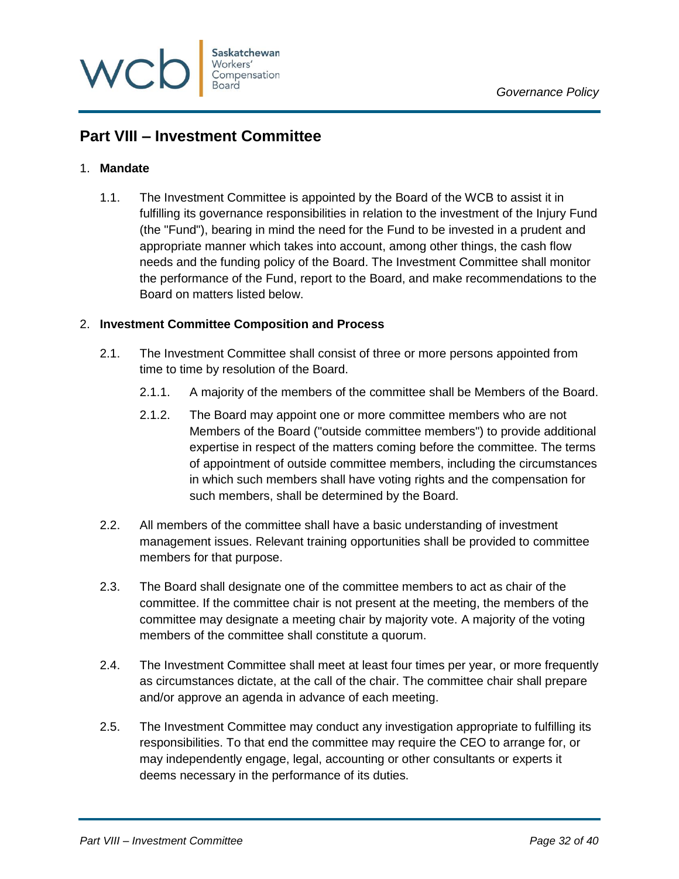

# <span id="page-31-0"></span>**Part VIII – Investment Committee**

### <span id="page-31-1"></span>1. **Mandate**

1.1. The Investment Committee is appointed by the Board of the WCB to assist it in fulfilling its governance responsibilities in relation to the investment of the Injury Fund (the "Fund"), bearing in mind the need for the Fund to be invested in a prudent and appropriate manner which takes into account, among other things, the cash flow needs and the funding policy of the Board. The Investment Committee shall monitor the performance of the Fund, report to the Board, and make recommendations to the Board on matters listed below.

### <span id="page-31-2"></span>2. **Investment Committee Composition and Process**

- 2.1. The Investment Committee shall consist of three or more persons appointed from time to time by resolution of the Board.
	- 2.1.1. A majority of the members of the committee shall be Members of the Board.
	- 2.1.2. The Board may appoint one or more committee members who are not Members of the Board ("outside committee members") to provide additional expertise in respect of the matters coming before the committee. The terms of appointment of outside committee members, including the circumstances in which such members shall have voting rights and the compensation for such members, shall be determined by the Board.
- 2.2. All members of the committee shall have a basic understanding of investment management issues. Relevant training opportunities shall be provided to committee members for that purpose.
- 2.3. The Board shall designate one of the committee members to act as chair of the committee. If the committee chair is not present at the meeting, the members of the committee may designate a meeting chair by majority vote. A majority of the voting members of the committee shall constitute a quorum.
- 2.4. The Investment Committee shall meet at least four times per year, or more frequently as circumstances dictate, at the call of the chair. The committee chair shall prepare and/or approve an agenda in advance of each meeting.
- 2.5. The Investment Committee may conduct any investigation appropriate to fulfilling its responsibilities. To that end the committee may require the CEO to arrange for, or may independently engage, legal, accounting or other consultants or experts it deems necessary in the performance of its duties.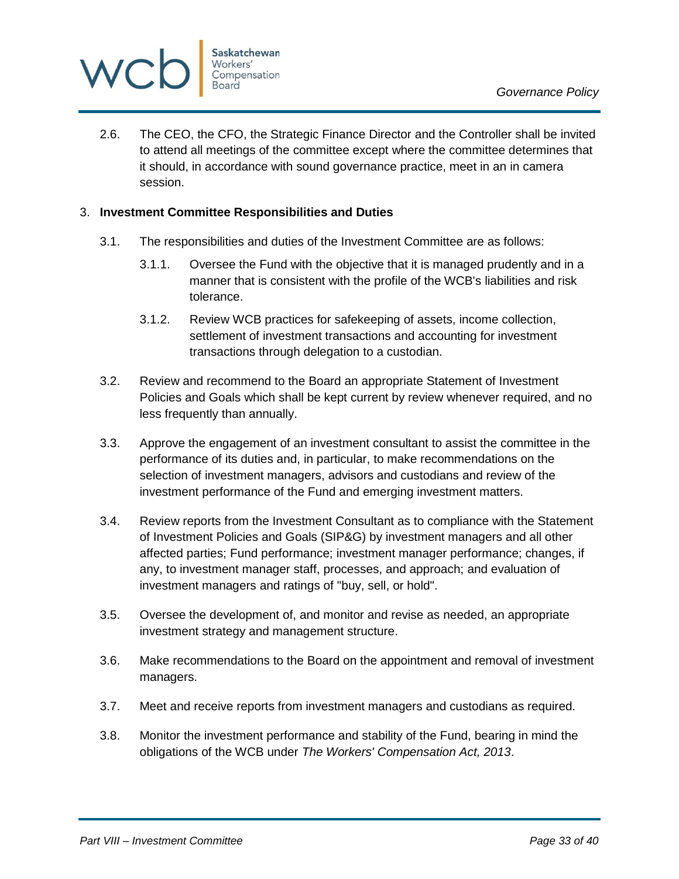

2.6. The CEO, the CFO, the Strategic Finance Director and the Controller shall be invited to attend all meetings of the committee except where the committee determines that it should, in accordance with sound governance practice, meet in an in camera session.

### <span id="page-32-0"></span>3. **Investment Committee Responsibilities and Duties**

- 3.1. The responsibilities and duties of the Investment Committee are as follows:
	- 3.1.1. Oversee the Fund with the objective that it is managed prudently and in a manner that is consistent with the profile of the WCB's liabilities and risk tolerance.
	- 3.1.2. Review WCB practices for safekeeping of assets, income collection, settlement of investment transactions and accounting for investment transactions through delegation to a custodian.
- 3.2. Review and recommend to the Board an appropriate Statement of Investment Policies and Goals which shall be kept current by review whenever required, and no less frequently than annually.
- 3.3. Approve the engagement of an investment consultant to assist the committee in the performance of its duties and, in particular, to make recommendations on the selection of investment managers, advisors and custodians and review of the investment performance of the Fund and emerging investment matters.
- 3.4. Review reports from the Investment Consultant as to compliance with the Statement of Investment Policies and Goals (SIP&G) by investment managers and all other affected parties; Fund performance; investment manager performance; changes, if any, to investment manager staff, processes, and approach; and evaluation of investment managers and ratings of "buy, sell, or hold".
- 3.5. Oversee the development of, and monitor and revise as needed, an appropriate investment strategy and management structure.
- 3.6. Make recommendations to the Board on the appointment and removal of investment managers.
- 3.7. Meet and receive reports from investment managers and custodians as required.
- 3.8. Monitor the investment performance and stability of the Fund, bearing in mind the obligations of the WCB under *The Workers' Compensation Act, 2013*.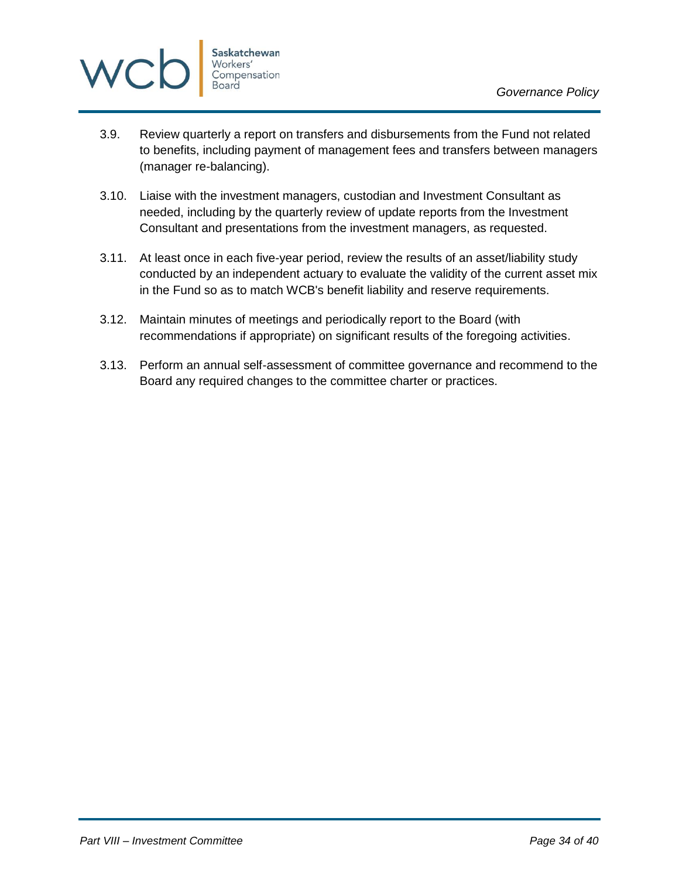

- 3.9. Review quarterly a report on transfers and disbursements from the Fund not related to benefits, including payment of management fees and transfers between managers (manager re-balancing).
- 3.10. Liaise with the investment managers, custodian and Investment Consultant as needed, including by the quarterly review of update reports from the Investment Consultant and presentations from the investment managers, as requested.
- 3.11. At least once in each five-year period, review the results of an asset/liability study conducted by an independent actuary to evaluate the validity of the current asset mix in the Fund so as to match WCB's benefit liability and reserve requirements.
- 3.12. Maintain minutes of meetings and periodically report to the Board (with recommendations if appropriate) on significant results of the foregoing activities.
- 3.13. Perform an annual self-assessment of committee governance and recommend to the Board any required changes to the committee charter or practices.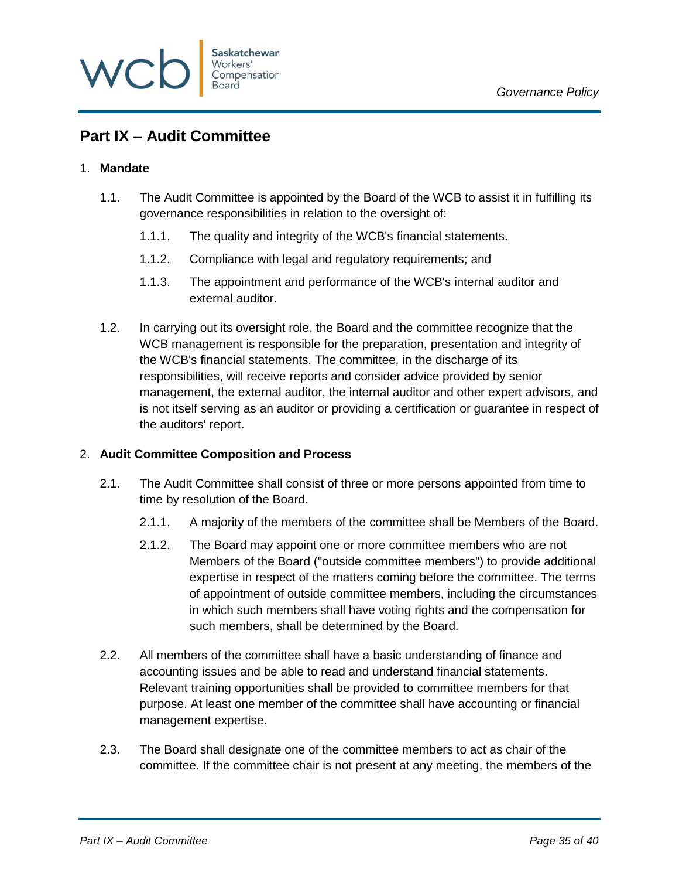

# <span id="page-34-0"></span>**Part IX – Audit Committee**

### <span id="page-34-1"></span>1. **Mandate**

- 1.1. The Audit Committee is appointed by the Board of the WCB to assist it in fulfilling its governance responsibilities in relation to the oversight of:
	- 1.1.1. The quality and integrity of the WCB's financial statements.
	- 1.1.2. Compliance with legal and regulatory requirements; and
	- 1.1.3. The appointment and performance of the WCB's internal auditor and external auditor.
- 1.2. In carrying out its oversight role, the Board and the committee recognize that the WCB management is responsible for the preparation, presentation and integrity of the WCB's financial statements. The committee, in the discharge of its responsibilities, will receive reports and consider advice provided by senior management, the external auditor, the internal auditor and other expert advisors, and is not itself serving as an auditor or providing a certification or guarantee in respect of the auditors' report.

### <span id="page-34-2"></span>2. **Audit Committee Composition and Process**

- 2.1. The Audit Committee shall consist of three or more persons appointed from time to time by resolution of the Board.
	- 2.1.1. A majority of the members of the committee shall be Members of the Board.
	- 2.1.2. The Board may appoint one or more committee members who are not Members of the Board ("outside committee members") to provide additional expertise in respect of the matters coming before the committee. The terms of appointment of outside committee members, including the circumstances in which such members shall have voting rights and the compensation for such members, shall be determined by the Board.
- 2.2. All members of the committee shall have a basic understanding of finance and accounting issues and be able to read and understand financial statements. Relevant training opportunities shall be provided to committee members for that purpose. At least one member of the committee shall have accounting or financial management expertise.
- 2.3. The Board shall designate one of the committee members to act as chair of the committee. If the committee chair is not present at any meeting, the members of the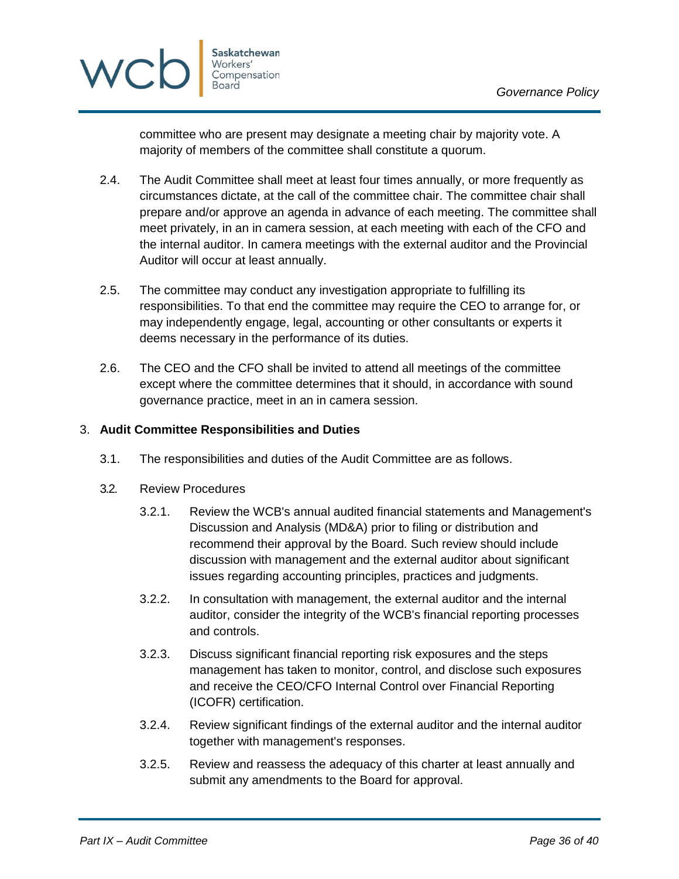

committee who are present may designate a meeting chair by majority vote. A majority of members of the committee shall constitute a quorum.

- 2.4. The Audit Committee shall meet at least four times annually, or more frequently as circumstances dictate, at the call of the committee chair. The committee chair shall prepare and/or approve an agenda in advance of each meeting. The committee shall meet privately, in an in camera session, at each meeting with each of the CFO and the internal auditor. In camera meetings with the external auditor and the Provincial Auditor will occur at least annually.
- 2.5. The committee may conduct any investigation appropriate to fulfilling its responsibilities. To that end the committee may require the CEO to arrange for, or may independently engage, legal, accounting or other consultants or experts it deems necessary in the performance of its duties.
- 2.6. The CEO and the CFO shall be invited to attend all meetings of the committee except where the committee determines that it should, in accordance with sound governance practice, meet in an in camera session.

### <span id="page-35-0"></span>3. **Audit Committee Responsibilities and Duties**

- 3.1. The responsibilities and duties of the Audit Committee are as follows.
- 3.2. Review Procedures
	- 3.2.1. Review the WCB's annual audited financial statements and Management's Discussion and Analysis (MD&A) prior to filing or distribution and recommend their approval by the Board. Such review should include discussion with management and the external auditor about significant issues regarding accounting principles, practices and judgments.
	- 3.2.2. In consultation with management, the external auditor and the internal auditor, consider the integrity of the WCB's financial reporting processes and controls.
	- 3.2.3. Discuss significant financial reporting risk exposures and the steps management has taken to monitor, control, and disclose such exposures and receive the CEO/CFO Internal Control over Financial Reporting (ICOFR) certification.
	- 3.2.4. Review significant findings of the external auditor and the internal auditor together with management's responses.
	- 3.2.5. Review and reassess the adequacy of this charter at least annually and submit any amendments to the Board for approval.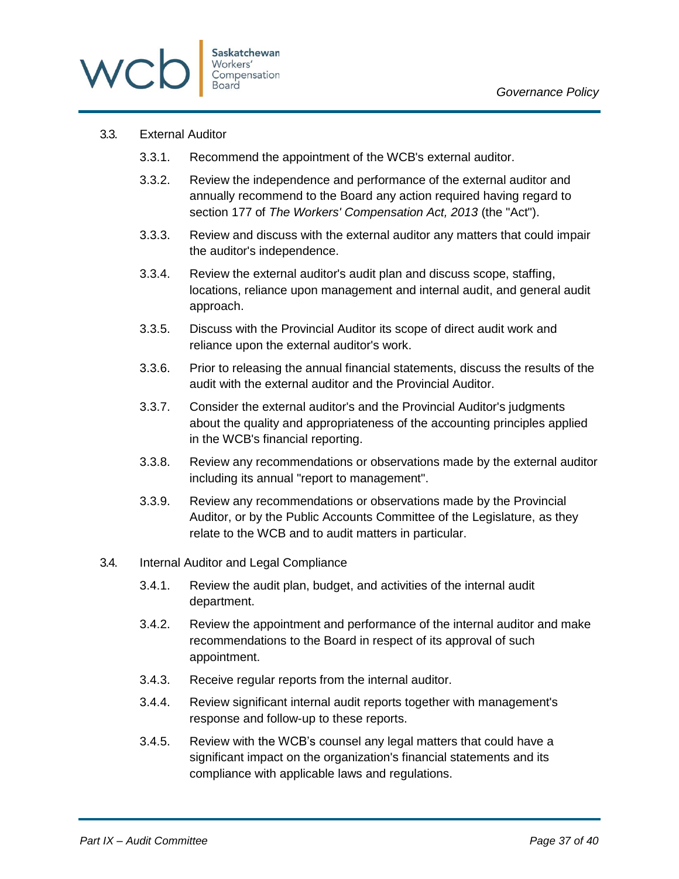

### 3.3. External Auditor

- 3.3.1. Recommend the appointment of the WCB's external auditor.
- 3.3.2. Review the independence and performance of the external auditor and annually recommend to the Board any action required having regard to section 177 of *The Workers' Compensation Act, 2013* (the "Act").
- 3.3.3. Review and discuss with the external auditor any matters that could impair the auditor's independence.
- 3.3.4. Review the external auditor's audit plan and discuss scope, staffing, locations, reliance upon management and internal audit, and general audit approach.
- 3.3.5. Discuss with the Provincial Auditor its scope of direct audit work and reliance upon the external auditor's work.
- 3.3.6. Prior to releasing the annual financial statements, discuss the results of the audit with the external auditor and the Provincial Auditor.
- 3.3.7. Consider the external auditor's and the Provincial Auditor's judgments about the quality and appropriateness of the accounting principles applied in the WCB's financial reporting.
- 3.3.8. Review any recommendations or observations made by the external auditor including its annual "report to management".
- 3.3.9. Review any recommendations or observations made by the Provincial Auditor, or by the Public Accounts Committee of the Legislature, as they relate to the WCB and to audit matters in particular.

### 3.4. Internal Auditor and Legal Compliance

- 3.4.1. Review the audit plan, budget, and activities of the internal audit department.
- 3.4.2. Review the appointment and performance of the internal auditor and make recommendations to the Board in respect of its approval of such appointment.
- 3.4.3. Receive regular reports from the internal auditor.
- 3.4.4. Review significant internal audit reports together with management's response and follow-up to these reports.
- 3.4.5. Review with the WCB's counsel any legal matters that could have a significant impact on the organization's financial statements and its compliance with applicable laws and regulations.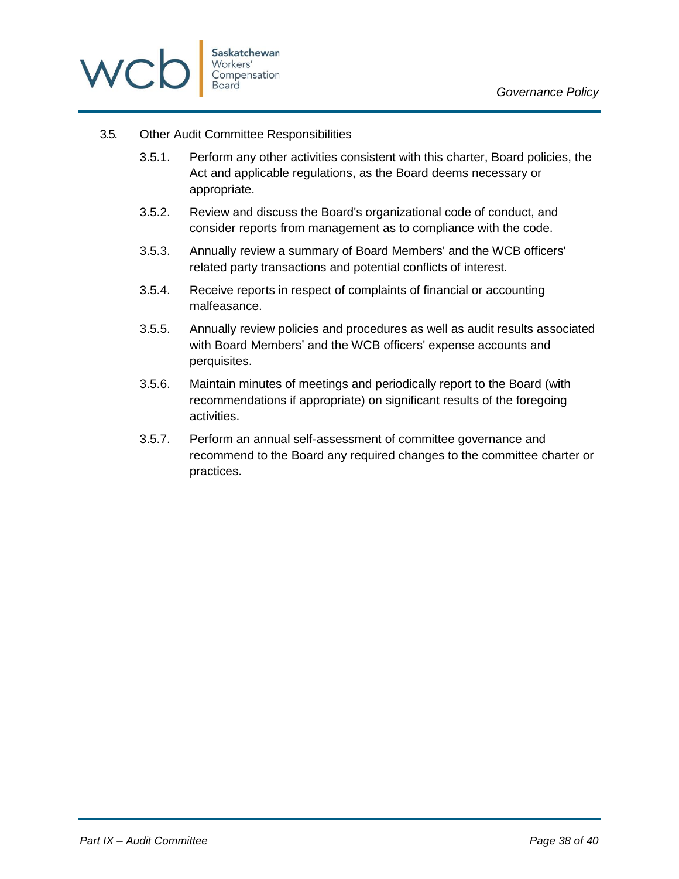

### 3.5. Other Audit Committee Responsibilities

- 3.5.1. Perform any other activities consistent with this charter, Board policies, the Act and applicable regulations, as the Board deems necessary or appropriate.
- 3.5.2. Review and discuss the Board's organizational code of conduct, and consider reports from management as to compliance with the code.
- 3.5.3. Annually review a summary of Board Members' and the WCB officers' related party transactions and potential conflicts of interest.
- 3.5.4. Receive reports in respect of complaints of financial or accounting malfeasance.
- 3.5.5. Annually review policies and procedures as well as audit results associated with Board Members' and the WCB officers' expense accounts and perquisites.
- 3.5.6. Maintain minutes of meetings and periodically report to the Board (with recommendations if appropriate) on significant results of the foregoing activities.
- 3.5.7. Perform an annual self-assessment of committee governance and recommend to the Board any required changes to the committee charter or practices.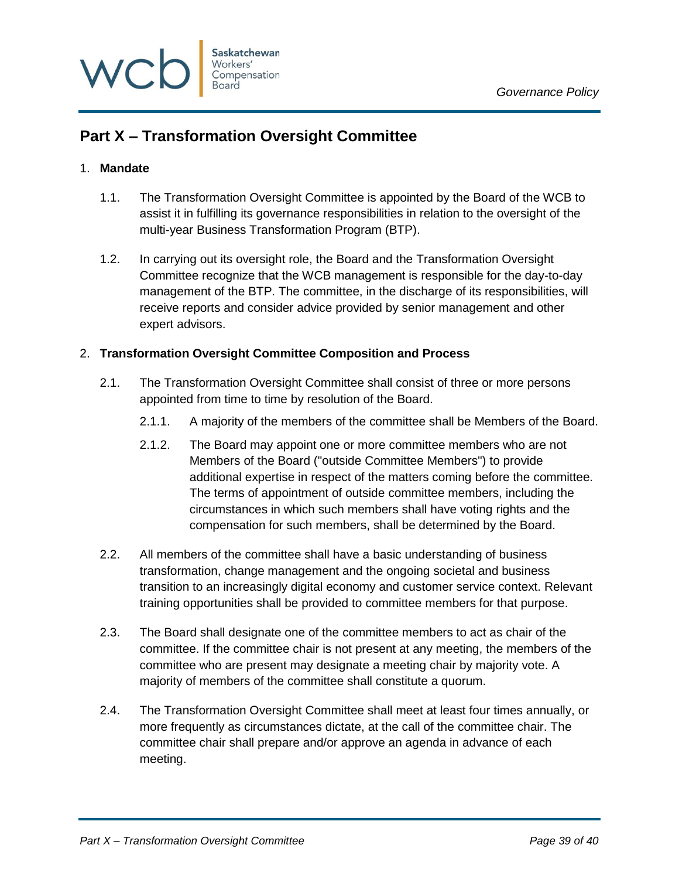

# <span id="page-38-0"></span>**Part X – Transformation Oversight Committee**

### <span id="page-38-1"></span>1. **Mandate**

- 1.1. The Transformation Oversight Committee is appointed by the Board of the WCB to assist it in fulfilling its governance responsibilities in relation to the oversight of the multi-year Business Transformation Program (BTP).
- 1.2. In carrying out its oversight role, the Board and the Transformation Oversight Committee recognize that the WCB management is responsible for the day-to-day management of the BTP. The committee, in the discharge of its responsibilities, will receive reports and consider advice provided by senior management and other expert advisors.

### <span id="page-38-2"></span>2. **Transformation Oversight Committee Composition and Process**

- 2.1. The Transformation Oversight Committee shall consist of three or more persons appointed from time to time by resolution of the Board.
	- 2.1.1. A majority of the members of the committee shall be Members of the Board.
	- 2.1.2. The Board may appoint one or more committee members who are not Members of the Board ("outside Committee Members") to provide additional expertise in respect of the matters coming before the committee. The terms of appointment of outside committee members, including the circumstances in which such members shall have voting rights and the compensation for such members, shall be determined by the Board.
- 2.2. All members of the committee shall have a basic understanding of business transformation, change management and the ongoing societal and business transition to an increasingly digital economy and customer service context. Relevant training opportunities shall be provided to committee members for that purpose.
- 2.3. The Board shall designate one of the committee members to act as chair of the committee. If the committee chair is not present at any meeting, the members of the committee who are present may designate a meeting chair by majority vote. A majority of members of the committee shall constitute a quorum.
- 2.4. The Transformation Oversight Committee shall meet at least four times annually, or more frequently as circumstances dictate, at the call of the committee chair. The committee chair shall prepare and/or approve an agenda in advance of each meeting.